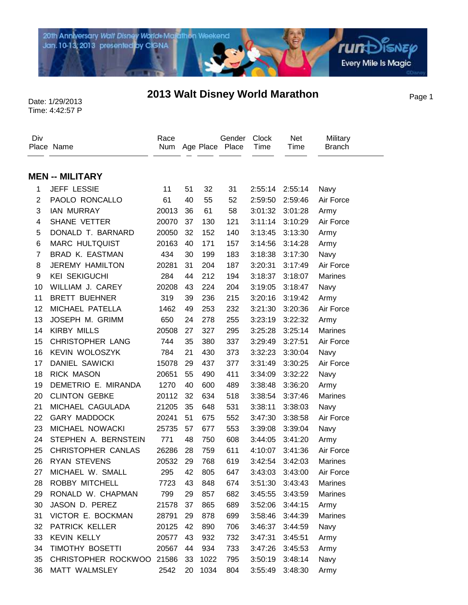

## Date: 1/29/2013 **2013 Walt Disney World Marathon** Page 1

Time: 4:42:57 P

| Div            | Place Name                | Race  |    |      | Gender<br>Num Age Place Place | <b>Clock</b><br>Time | Net<br>Time     | Military<br><b>Branch</b> |
|----------------|---------------------------|-------|----|------|-------------------------------|----------------------|-----------------|---------------------------|
|                |                           |       |    |      |                               |                      |                 |                           |
|                | <b>MEN -- MILITARY</b>    |       |    |      |                               |                      |                 |                           |
| 1              | <b>JEFF LESSIE</b>        | 11    | 51 | 32   | 31                            | 2:55:14              | 2:55:14         | Navy                      |
| $\overline{c}$ | PAOLO RONCALLO            | 61    | 40 | 55   | 52                            | 2:59:50              | 2:59:46         | Air Force                 |
| 3              | <b>IAN MURRAY</b>         | 20013 | 36 | 61   | 58                            | 3:01:32              | 3:01:28         | Army                      |
| 4              | SHANE VETTER              | 20070 | 37 | 130  | 121                           | 3:11:14              | 3:10:29         | Air Force                 |
| 5              | DONALD T. BARNARD         | 20050 | 32 | 152  | 140                           | 3:13:45              | 3:13:30         | Army                      |
| 6              | <b>MARC HULTQUIST</b>     | 20163 | 40 | 171  | 157                           | 3:14:56              | 3:14:28         | Army                      |
| $\overline{7}$ | <b>BRAD K. EASTMAN</b>    | 434   | 30 | 199  | 183                           | 3:18:38              | 3:17:30         | Navy                      |
| 8              | <b>JEREMY HAMILTON</b>    | 20281 | 31 | 204  | 187                           | 3:20:31              | 3:17:49         | Air Force                 |
| 9              | <b>KEI SEKIGUCHI</b>      | 284   | 44 | 212  | 194                           | 3:18:37              | 3:18:07         | <b>Marines</b>            |
| 10             | WILLIAM J. CAREY          | 20208 | 43 | 224  | 204                           | 3:19:05              | 3:18:47         | Navy                      |
| 11             | <b>BRETT BUEHNER</b>      | 319   | 39 | 236  | 215                           | 3:20:16              | 3:19:42         | Army                      |
| 12             | MICHAEL PATELLA           | 1462  | 49 | 253  | 232                           | 3:21:30              | 3:20:36         | Air Force                 |
| 13             | JOSEPH M. GRIMM           | 650   | 24 | 278  | 255                           | 3:23:19              | 3:22:32         | Army                      |
| 14             | <b>KIRBY MILLS</b>        | 20508 | 27 | 327  | 295                           | 3:25:28              | 3:25:14         | <b>Marines</b>            |
| 15             | <b>CHRISTOPHER LANG</b>   | 744   | 35 | 380  | 337                           | 3:29:49              | 3:27:51         | Air Force                 |
| 16             | <b>KEVIN WOLOSZYK</b>     | 784   | 21 | 430  | 373                           | 3:32:23              | 3:30:04         | Navy                      |
| 17             | <b>DANIEL SAWICKI</b>     | 15078 | 29 | 437  | 377                           | 3:31:49              | 3:30:25         | Air Force                 |
| 18             | <b>RICK MASON</b>         | 20651 | 55 | 490  | 411                           | 3:34:09              | 3:32:22         | Navy                      |
| 19             | DEMETRIO E. MIRANDA       | 1270  | 40 | 600  | 489                           | 3:38:48              | 3:36:20         | Army                      |
| 20             | <b>CLINTON GEBKE</b>      | 20112 | 32 | 634  | 518                           | 3:38:54              | 3:37:46         | <b>Marines</b>            |
| 21             | MICHAEL CAGULADA          | 21205 | 35 | 648  | 531                           | 3:38:11              | 3:38:03         | Navy                      |
| 22             | <b>GARY MADDOCK</b>       | 20241 | 51 | 675  | 552                           | 3:47:30              | 3:38:58         | Air Force                 |
| 23             | MICHAEL NOWACKI           | 25735 | 57 | 677  | 553                           | 3:39:08              | 3:39:04         | Navy                      |
| 24             | STEPHEN A. BERNSTEIN      | 771   | 48 | 750  | 608                           | 3:44:05              | 3:41:20         | Army                      |
| 25             | CHRISTOPHER CANLAS        | 26286 | 28 | 759  | 611                           | 4:10:07              | 3:41:36         | Air Force                 |
| 26             | <b>RYAN STEVENS</b>       | 20532 | 29 | 768  | 619                           | 3:42:54              | 3:42:03         | <b>Marines</b>            |
| 27             | MICHAEL W. SMALL          | 295   | 42 | 805  | 647                           |                      | 3:43:03 3:43:00 | Air Force                 |
| 28             | ROBBY MITCHELL            | 7723  | 43 | 848  | 674                           | 3:51:30              | 3:43:43         | <b>Marines</b>            |
| 29             | RONALD W. CHAPMAN         | 799   | 29 | 857  | 682                           | 3:45:55              | 3:43:59         | Marines                   |
| 30             | JASON D. PEREZ            | 21578 | 37 | 865  | 689                           | 3:52:06              | 3:44:15         | Army                      |
| 31             | VICTOR E. BOCKMAN         | 28791 | 29 | 878  | 699                           | 3:58:46              | 3:44:39         | Marines                   |
| 32             | PATRICK KELLER            | 20125 | 42 | 890  | 706                           | 3:46:37              | 3:44:59         | Navy                      |
| 33             | <b>KEVIN KELLY</b>        | 20577 | 43 | 932  | 732                           | 3:47:31              | 3:45:51         | Army                      |
| 34             | TIMOTHY BOSETTI           | 20567 | 44 | 934  | 733                           | 3:47:26              | 3:45:53         | Army                      |
| 35             | CHRISTOPHER ROCKWOO 21586 |       | 33 | 1022 | 795                           | 3:50:19              | 3:48:14         | Navy                      |
| 36             | MATT WALMSLEY             | 2542  | 20 | 1034 | 804                           | 3:55:49              | 3:48:30         | Army                      |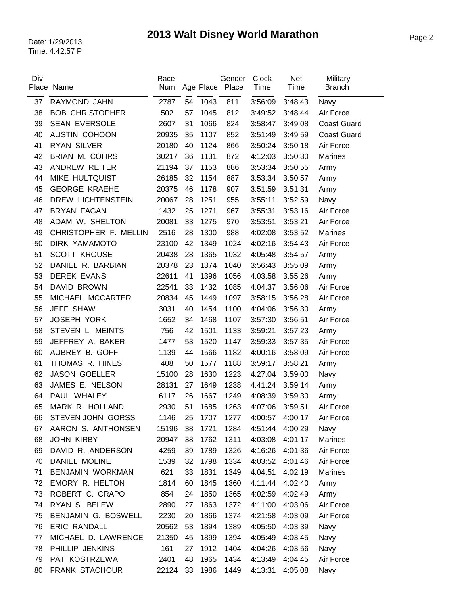| Div | Place Name               | Race<br>Num |    | Age Place | Gender<br>Place | Clock<br>Time | Net<br>Time | Military<br><b>Branch</b>      |
|-----|--------------------------|-------------|----|-----------|-----------------|---------------|-------------|--------------------------------|
| 37  | RAYMOND JAHN             | 2787        | 54 | 1043      | 811             | 3:56:09       | 3:48:43     | Navy                           |
| 38  | <b>BOB CHRISTOPHER</b>   | 502         | 57 | 1045      | 812             | 3:49:52       | 3:48:44     | Air Force                      |
| 39  | <b>SEAN EVERSOLE</b>     | 2607        | 31 | 1066      | 824             | 3:58:47       | 3:49:08     | <b>Coast Guard</b>             |
| 40  | AUSTIN COHOON            | 20935       | 35 | 1107      | 852             | 3:51:49       | 3:49:59     | <b>Coast Guard</b>             |
| 41  | <b>RYAN SILVER</b>       | 20180       | 40 | 1124      | 866             | 3:50:24       | 3:50:18     | Air Force                      |
| 42  | <b>BRIAN M. COHRS</b>    | 30217       | 36 | 1131      | 872             | 4:12:03       | 3:50:30     | <b>Marines</b>                 |
| 43  | ANDREW REITER            | 21194       | 37 | 1153      | 886             | 3:53:34       | 3:50:55     | Army                           |
| 44  | MIKE HULTQUIST           | 26185       | 32 | 1154      | 887             | 3:53:34       | 3:50:57     | Army                           |
| 45  | <b>GEORGE KRAEHE</b>     | 20375       | 46 | 1178      | 907             | 3:51:59       | 3:51:31     | Army                           |
| 46  | <b>DREW LICHTENSTEIN</b> | 20067       | 28 | 1251      | 955             | 3:55:11       | 3:52:59     | Navy                           |
| 47  | <b>BRYAN FAGAN</b>       | 1432        | 25 | 1271      | 967             | 3:55:31       | 3:53:16     | Air Force                      |
| 48  | ADAM W. SHELTON          | 20081       | 33 | 1275      | 970             | 3:53:51       | 3:53:21     | Air Force                      |
| 49  | CHRISTOPHER F. MELLIN    | 2516        | 28 | 1300      | 988             | 4:02:08       | 3:53:52     | <b>Marines</b>                 |
| 50  | DIRK YAMAMOTO            | 23100       | 42 | 1349      | 1024            | 4:02:16       | 3:54:43     | Air Force                      |
| 51  | <b>SCOTT KROUSE</b>      | 20438       | 28 | 1365      | 1032            | 4:05:48       | 3:54:57     | Army                           |
| 52  | DANIEL R. BARBIAN        | 20378       | 23 | 1374      | 1040            | 3:56:43       | 3:55:09     | Army                           |
| 53  | <b>DEREK EVANS</b>       | 22611       | 41 | 1396      | 1056            | 4:03:58       | 3:55:26     | Army                           |
| 54  | DAVID BROWN              | 22541       | 33 | 1432      | 1085            | 4:04:37       | 3:56:06     | Air Force                      |
| 55  | MICHAEL MCCARTER         | 20834       | 45 | 1449      | 1097            | 3:58:15       | 3:56:28     | Air Force                      |
| 56  | JEFF SHAW                | 3031        | 40 | 1454      | 1100            | 4:04:06       | 3:56:30     | Army                           |
| 57  | <b>JOSEPH YORK</b>       | 1652        | 34 | 1468      | 1107            | 3:57:30       | 3:56:51     | Air Force                      |
| 58  | STEVEN L. MEINTS         | 756         | 42 | 1501      | 1133            | 3:59:21       | 3:57:23     | Army                           |
| 59  | JEFFREY A. BAKER         | 1477        | 53 | 1520      | 1147            | 3:59:33       | 3:57:35     | Air Force                      |
| 60  | AUBREY B. GOFF           | 1139        | 44 | 1566      | 1182            | 4:00:16       | 3:58:09     | Air Force                      |
| 61  | THOMAS R. HINES          | 408         | 50 | 1577      | 1188            | 3:59:17       | 3:58:21     | Army                           |
| 62  | <b>JASON GOELLER</b>     | 15100       | 28 | 1630      | 1223            | 4:27:04       | 3:59:00     | Navy                           |
| 63  | JAMES E. NELSON          | 28131       | 27 | 1649      | 1238            | 4:41:24       | 3:59:14     | Army                           |
| 64  | PAUL WHALEY              | 6117        | 26 | 1667      | 1249            | 4:08:39       | 3:59:30     | Army                           |
| 65  | MARK R. HOLLAND          | 2930        | 51 | 1685      | 1263            | 4:07:06       | 3:59:51     | Air Force                      |
| 66  | STEVEN JOHN GORSS        | 1146        |    | 25 1707   |                 |               |             | 1277 4:00:57 4:00:17 Air Force |
| 67  | AARON S. ANTHONSEN       | 15196       | 38 | 1721      | 1284            | 4:51:44       | 4:00:29     | Navy                           |
| 68  | JOHN KIRBY               | 20947       | 38 | 1762      | 1311            | 4:03:08       | 4:01:17     | Marines                        |
| 69  | DAVID R. ANDERSON        | 4259        | 39 | 1789      | 1326            | 4:16:26       | 4:01:36     | Air Force                      |
| 70  | <b>DANIEL MOLINE</b>     | 1539        | 32 | 1798      | 1334            | 4:03:52       | 4:01:46     | Air Force                      |
| 71  | BENJAMIN WORKMAN         | 621         | 33 | 1831      | 1349            | 4:04:51       | 4:02:19     | Marines                        |
| 72  | EMORY R. HELTON          | 1814        | 60 | 1845      | 1360            | 4:11:44       | 4:02:40     | Army                           |
| 73  | ROBERT C. CRAPO          | 854         | 24 | 1850      | 1365            | 4:02:59       | 4:02:49     | Army                           |
| 74  | RYAN S. BELEW            | 2890        | 27 | 1863      | 1372            | 4:11:00       | 4:03:06     | Air Force                      |
| 75  | BENJAMIN G. BOSWELL      | 2230        | 20 | 1866      | 1374            | 4:21:58       | 4:03:09     | Air Force                      |
| 76  | <b>ERIC RANDALL</b>      | 20562       | 53 | 1894      | 1389            | 4:05:50       | 4:03:39     | Navy                           |
| 77  | MICHAEL D. LAWRENCE      | 21350       | 45 | 1899      | 1394            | 4:05:49       | 4:03:45     | Navy                           |
| 78  | PHILLIP JENKINS          | 161         | 27 | 1912      | 1404            | 4:04:26       | 4:03:56     | Navy                           |
| 79  | PAT KOSTRZEWA            | 2401        | 48 | 1965      | 1434            | 4:13:49       | 4:04:45     | Air Force                      |
| 80  | FRANK STACHOUR           | 22124       | 33 | 1986      | 1449            | 4:13:31       | 4:05:08     | Navy                           |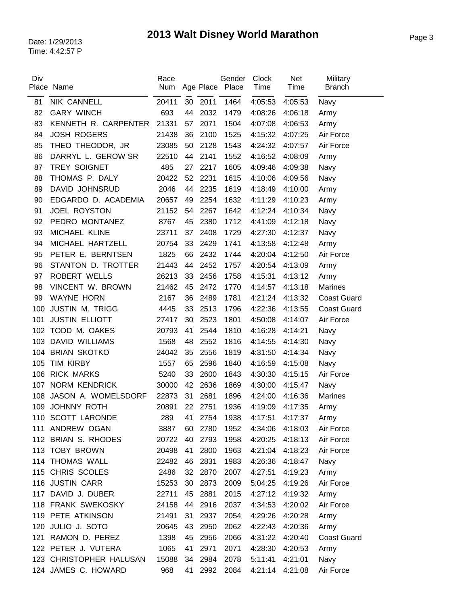| Div | Place Name              | Race<br>Num |    | Age Place | Gender<br>Place | Clock<br>Time   | Net<br>Time | Military<br><b>Branch</b> |
|-----|-------------------------|-------------|----|-----------|-----------------|-----------------|-------------|---------------------------|
|     |                         |             |    |           |                 |                 |             |                           |
| 81  | <b>NIK CANNELL</b>      | 20411       |    | 30 2011   | 1464            | 4:05:53         | 4:05:53     | Navy                      |
| 82  | <b>GARY WINCH</b>       | 693         | 44 | 2032      | 1479            | 4:08:26         | 4:06:18     | Army                      |
| 83  | KENNETH R. CARPENTER    | 21331       | 57 | 2071      | 1504            | 4:07:08         | 4:06:53     | Army                      |
| 84  | <b>JOSH ROGERS</b>      | 21438       | 36 | 2100      | 1525            | 4:15:32         | 4:07:25     | Air Force                 |
| 85  | THEO THEODOR, JR        | 23085       | 50 | 2128      | 1543            | 4:24:32         | 4:07:57     | Air Force                 |
| 86  | DARRYL L. GEROW SR      | 22510       | 44 | 2141      | 1552            | 4:16:52         | 4:08:09     | Army                      |
| 87  | TREY SOIGNET            | 485         | 27 | 2217      | 1605            | 4:09:46         | 4:09:38     | Navy                      |
| 88  | THOMAS P. DALY          | 20422       | 52 | 2231      | 1615            | 4:10:06         | 4:09:56     | Navy                      |
| 89  | DAVID JOHNSRUD          | 2046        | 44 | 2235      | 1619            | 4:18:49         | 4:10:00     | Army                      |
| 90  | EDGARDO D. ACADEMIA     | 20657       | 49 | 2254      | 1632            | 4:11:29         | 4:10:23     | Army                      |
| 91  | <b>JOEL ROYSTON</b>     | 21152       | 54 | 2267      | 1642            | 4:12:24         | 4:10:34     | Navy                      |
| 92  | PEDRO MONTANEZ          | 8767        | 45 | 2380      | 1712            | 4:41:09         | 4:12:18     | Navy                      |
| 93  | MICHAEL KLINE           | 23711       | 37 | 2408      | 1729            | 4:27:30         | 4:12:37     | Navy                      |
| 94  | MICHAEL HARTZELL        | 20754       | 33 | 2429      | 1741            | 4:13:58         | 4:12:48     | Army                      |
| 95  | PETER E. BERNTSEN       | 1825        | 66 | 2432      | 1744            | 4:20:04         | 4:12:50     | Air Force                 |
| 96  | STANTON D. TROTTER      | 21443       | 44 | 2452      | 1757            | 4:20:54         | 4:13:09     | Army                      |
| 97  | ROBERT WELLS            | 26213       | 33 | 2456      | 1758            | 4:15:31         | 4:13:12     | Army                      |
| 98  | VINCENT W. BROWN        | 21462       | 45 | 2472      | 1770            | 4:14:57         | 4:13:18     | <b>Marines</b>            |
| 99  | <b>WAYNE HORN</b>       | 2167        | 36 | 2489      | 1781            | 4:21:24         | 4:13:32     | <b>Coast Guard</b>        |
| 100 | <b>JUSTIN M. TRIGG</b>  | 4445        | 33 | 2513      | 1796            | 4:22:36         | 4:13:55     | <b>Coast Guard</b>        |
| 101 | <b>JUSTIN ELLIOTT</b>   | 27417       | 30 | 2523      | 1801            | 4:50:08         | 4:14:07     | Air Force                 |
| 102 | TODD M. OAKES           | 20793       | 41 | 2544      | 1810            | 4:16:28         | 4:14:21     | Navy                      |
| 103 | <b>DAVID WILLIAMS</b>   | 1568        | 48 | 2552      | 1816            | 4:14:55         | 4:14:30     | Navy                      |
| 104 | <b>BRIAN SKOTKO</b>     | 24042       | 35 | 2556      | 1819            | 4:31:50         | 4:14:34     | Navy                      |
| 105 | <b>TIM KIRBY</b>        | 1557        | 65 | 2596      | 1840            | 4:16:59         | 4:15:08     | Navy                      |
| 106 | <b>RICK MARKS</b>       | 5240        | 33 | 2600      | 1843            | 4:30:30         | 4:15:15     | Air Force                 |
| 107 | <b>NORM KENDRICK</b>    | 30000       | 42 | 2636      | 1869            | 4:30:00         | 4:15:47     | Navy                      |
| 108 | JASON A. WOMELSDORF     | 22873       | 31 | 2681      | 1896            | 4:24:00         | 4:16:36     | <b>Marines</b>            |
| 109 | <b>JOHNNY ROTH</b>      | 20891       | 22 | 2751      | 1936            | 4:19:09         | 4:17:35     | Army                      |
|     | 110 SCOTT LARONDE       | 289         |    | 41 2754   | 1938            | 4:17:51 4:17:37 |             | Army                      |
|     | 111 ANDREW OGAN         | 3887        |    | 60 2780   | 1952            | 4:34:06         | 4:18:03     | Air Force                 |
|     | 112 BRIAN S. RHODES     | 20722       | 40 | 2793      | 1958            | 4:20:25         | 4:18:13     | Air Force                 |
|     | 113 TOBY BROWN          | 20498       | 41 | 2800      | 1963            | 4:21:04         | 4:18:23     | Air Force                 |
|     | 114 THOMAS WALL         | 22482       | 46 | 2831      | 1983            | 4:26:36         | 4:18:47     | Navy                      |
|     | 115 CHRIS SCOLES        | 2486        | 32 | 2870      | 2007            | 4:27:51         | 4:19:23     | Army                      |
|     | 116 JUSTIN CARR         | 15253       | 30 | 2873      | 2009            | 5:04:25         | 4:19:26     | Air Force                 |
|     | 117 DAVID J. DUBER      | 22711       | 45 | 2881      | 2015            | 4:27:12         | 4:19:32     | Army                      |
|     | 118 FRANK SWEKOSKY      | 24158       | 44 | 2916      | 2037            | 4:34:53         | 4:20:02     | Air Force                 |
|     | 119 PETE ATKINSON       | 21491       | 31 | 2937      | 2054            | 4:29:26         | 4:20:28     | Army                      |
|     | 120 JULIO J. SOTO       | 20645       | 43 | 2950      | 2062            | 4:22:43         | 4:20:36     | Army                      |
|     | 121 RAMON D. PEREZ      | 1398        | 45 | 2956      | 2066            | 4:31:22         | 4:20:40     | <b>Coast Guard</b>        |
|     | 122 PETER J. VUTERA     | 1065        | 41 | 2971      | 2071            | 4:28:30         | 4:20:53     | Army                      |
|     | 123 CHRISTOPHER HALUSAN | 15088       | 34 | 2984      | 2078            | 5:11:41         | 4:21:01     | Navy                      |
|     | 124 JAMES C. HOWARD     | 968         | 41 | 2992      | 2084            | 4:21:14         | 4:21:08     | Air Force                 |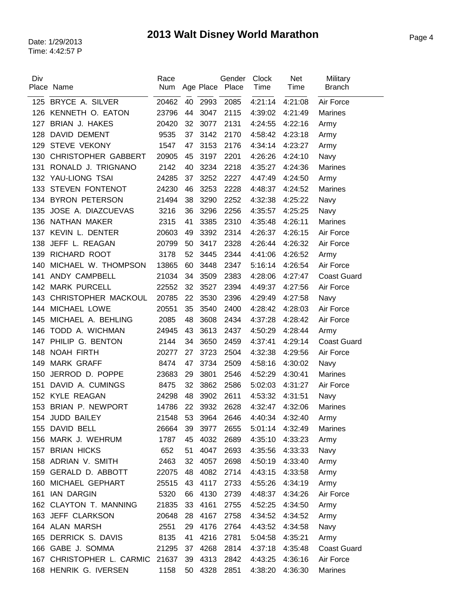| Div | Place Name                 | Race<br>Num |    | Age Place | Gender<br>Place | Clock<br>Time   | Net<br>Time | Military<br><b>Branch</b> |
|-----|----------------------------|-------------|----|-----------|-----------------|-----------------|-------------|---------------------------|
|     | 125 BRYCE A. SILVER        | 20462       | 40 | 2993      | 2085            | 4:21:14         | 4:21:08     | Air Force                 |
| 126 | KENNETH O. EATON           | 23796       | 44 | 3047      | 2115            | 4:39:02         | 4:21:49     | <b>Marines</b>            |
| 127 | BRIAN J. HAKES             | 20420       | 32 | 3077      | 2131            | 4:24:55         | 4:22:16     | Army                      |
| 128 | <b>DAVID DEMENT</b>        | 9535        | 37 | 3142      | 2170            | 4:58:42         | 4:23:18     | Army                      |
| 129 | <b>STEVE VEKONY</b>        | 1547        | 47 | 3153      | 2176            | 4:34:14         | 4:23:27     | Army                      |
| 130 | <b>CHRISTOPHER GABBERT</b> | 20905       | 45 | 3197      | 2201            | 4:26:26         | 4:24:10     | Navy                      |
| 131 | RONALD J. TRIGNANO         | 2142        | 40 | 3234      | 2218            | 4:35:27         | 4:24:36     | <b>Marines</b>            |
| 132 | YAU-LIONG TSAI             | 24285       | 37 | 3252      | 2227            | 4:47:49         | 4:24:50     | Army                      |
| 133 | <b>STEVEN FONTENOT</b>     | 24230       | 46 | 3253      | 2228            | 4:48:37         | 4:24:52     | <b>Marines</b>            |
|     | 134 BYRON PETERSON         | 21494       | 38 | 3290      | 2252            | 4:32:38         | 4:25:22     | Navy                      |
| 135 | JOSE A. DIAZCUEVAS         | 3216        | 36 | 3296      | 2256            | 4:35:57         | 4:25:25     | Navy                      |
| 136 | NATHAN MAKER               | 2315        | 41 | 3385      | 2310            | 4:35:48         | 4:26:11     | <b>Marines</b>            |
| 137 | KEVIN L. DENTER            | 20603       | 49 | 3392      | 2314            | 4:26:37         | 4:26:15     | Air Force                 |
| 138 | JEFF L. REAGAN             | 20799       | 50 | 3417      | 2328            | 4:26:44         | 4:26:32     | Air Force                 |
| 139 | RICHARD ROOT               | 3178        | 52 | 3445      | 2344            | 4:41:06         | 4:26:52     | Army                      |
| 140 | MICHAEL W. THOMPSON        | 13865       | 60 | 3448      | 2347            | 5:16:14         | 4:26:54     | Air Force                 |
| 141 | ANDY CAMPBELL              | 21034       | 34 | 3509      | 2383            | 4:28:06         | 4:27:47     | <b>Coast Guard</b>        |
| 142 | <b>MARK PURCELL</b>        | 22552       | 32 | 3527      | 2394            | 4:49:37         | 4:27:56     | Air Force                 |
| 143 | CHRISTOPHER MACKOUL        | 20785       | 22 | 3530      | 2396            | 4:29:49         | 4:27:58     | Navy                      |
|     | 144 MICHAEL LOWE           | 20551       | 35 | 3540      | 2400            | 4:28:42         | 4:28:03     | Air Force                 |
| 145 | MICHAEL A. BEHLING         | 2085        | 48 | 3608      | 2434            | 4:37:28         | 4:28:42     | Air Force                 |
| 146 | TODD A. WICHMAN            | 24945       | 43 | 3613      | 2437            | 4:50:29         | 4:28:44     | Army                      |
| 147 | PHILIP G. BENTON           | 2144        | 34 | 3650      | 2459            | 4:37:41         | 4:29:14     | <b>Coast Guard</b>        |
| 148 | <b>NOAH FIRTH</b>          | 20277       | 27 | 3723      | 2504            | 4:32:38         | 4:29:56     | Air Force                 |
| 149 | <b>MARK GRAFF</b>          | 8474        | 47 | 3734      | 2509            | 4:58:16         | 4:30:02     | Navy                      |
| 150 | JERROD D. POPPE            | 23683       | 29 | 3801      | 2546            | 4:52:29         | 4:30:41     | <b>Marines</b>            |
| 151 | DAVID A. CUMINGS           | 8475        | 32 | 3862      | 2586            | 5:02:03         | 4:31:27     | Air Force                 |
|     | 152 KYLE REAGAN            | 24298       | 48 | 3902      | 2611            | 4:53:32         | 4:31:51     | Navy                      |
| 153 | BRIAN P. NEWPORT           | 14786       | 22 | 3932      | 2628            | 4:32:47         | 4:32:06     | <b>Marines</b>            |
|     | 154 JUDD BAILEY            | 21548       | 53 | 3964      | 2646            | 4:40:34 4:32:40 |             | Army                      |
|     | 155 DAVID BELL             | 26664       | 39 | 3977      | 2655            | 5:01:14         | 4:32:49     | <b>Marines</b>            |
|     | 156 MARK J. WEHRUM         | 1787        | 45 | 4032      | 2689            | 4:35:10         | 4:33:23     | Army                      |
|     | 157 BRIAN HICKS            | 652         | 51 | 4047      | 2693            | 4:35:56         | 4:33:33     | Navy                      |
|     | 158 ADRIAN V. SMITH        | 2463        | 32 | 4057      | 2698            | 4:50:19         | 4:33:40     | Army                      |
|     | 159 GERALD D. ABBOTT       | 22075       | 48 | 4082      | 2714            | 4:43:15         | 4:33:58     | Army                      |
|     | 160 MICHAEL GEPHART        | 25515       | 43 | 4117      | 2733            | 4:55:26         | 4:34:19     | Army                      |
|     | 161 IAN DARGIN             | 5320        | 66 | 4130      | 2739            | 4:48:37         | 4:34:26     | Air Force                 |
|     | 162 CLAYTON T. MANNING     | 21835       | 33 | 4161      | 2755            | 4:52:25         | 4:34:50     | Army                      |
|     | 163 JEFF CLARKSON          | 20648       | 28 | 4167      | 2758            | 4:34:52         | 4:34:52     | Army                      |
|     | 164 ALAN MARSH             | 2551        | 29 | 4176      | 2764            | 4:43:52         | 4:34:58     | Navy                      |
|     | 165 DERRICK S. DAVIS       | 8135        | 41 | 4216      | 2781            | 5:04:58         | 4:35:21     | Army                      |
|     | 166 GABE J. SOMMA          | 21295       | 37 | 4268      | 2814            | 4:37:18         | 4:35:48     | <b>Coast Guard</b>        |
| 167 | CHRISTOPHER L. CARMIC      | 21637       | 39 | 4313      | 2842            | 4:43:25         | 4:36:16     | Air Force                 |
|     | 168 HENRIK G. IVERSEN      | 1158        | 50 | 4328      | 2851            | 4:38:20         | 4:36:30     | <b>Marines</b>            |

 $\overline{a}$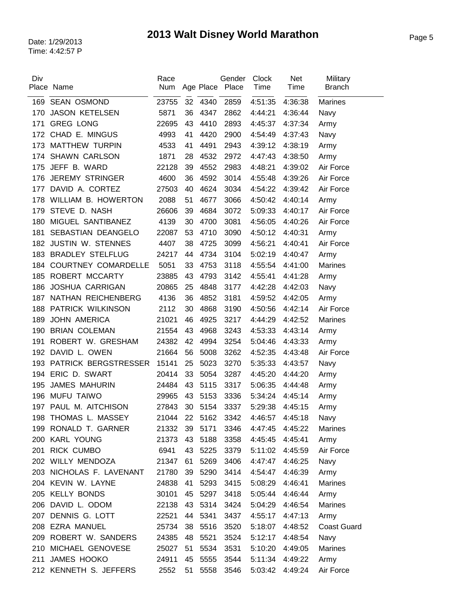| Div |                            | Race          |    |           | Gender | Clock           | Net     | Military           |
|-----|----------------------------|---------------|----|-----------|--------|-----------------|---------|--------------------|
|     | Place Name                 | Num           |    | Age Place | Place  | Time            | Time    | <b>Branch</b>      |
| 169 | <b>SEAN OSMOND</b>         | 23755         |    | 32 4340   | 2859   | 4:51:35         | 4:36:38 | <b>Marines</b>     |
| 170 | <b>JASON KETELSEN</b>      | 5871          | 36 | 4347      | 2862   | 4:44:21         | 4:36:44 | Navy               |
| 171 | <b>GREG LONG</b>           | 22695         | 43 | 4410      | 2893   | 4:45:37         | 4:37:34 | Army               |
|     | 172 CHAD E. MINGUS         | 4993          | 41 | 4420      | 2900   | 4:54:49         | 4:37:43 | Navy               |
| 173 | <b>MATTHEW TURPIN</b>      | 4533          | 41 | 4491      | 2943   | 4:39:12         | 4:38:19 | Army               |
| 174 | <b>SHAWN CARLSON</b>       | 1871          | 28 | 4532      | 2972   | 4:47:43         | 4:38:50 | Army               |
| 175 | JEFF B. WARD               | 22128         | 39 | 4552      | 2983   | 4:48:21         | 4:39:02 | Air Force          |
| 176 | <b>JEREMY STRINGER</b>     | 4600          | 36 | 4592      | 3014   | 4:55:48         | 4:39:26 | Air Force          |
| 177 | DAVID A. CORTEZ            | 27503         | 40 | 4624      | 3034   | 4:54:22         | 4:39:42 | Air Force          |
| 178 | <b>WILLIAM B. HOWERTON</b> | 2088          | 51 | 4677      | 3066   | 4:50:42         | 4:40:14 | Army               |
| 179 | STEVE D. NASH              | 26606         | 39 | 4684      | 3072   | 5:09:33         | 4:40:17 | Air Force          |
| 180 | MIGUEL SANTIBANEZ          | 4139          | 30 | 4700      | 3081   | 4:56:05         | 4:40:26 | Air Force          |
| 181 | SEBASTIAN DEANGELO         | 22087         | 53 | 4710      | 3090   | 4:50:12         | 4:40:31 | Army               |
| 182 | <b>JUSTIN W. STENNES</b>   | 4407          | 38 | 4725      | 3099   | 4:56:21         | 4:40:41 | Air Force          |
| 183 | <b>BRADLEY STELFLUG</b>    | 24217         | 44 | 4734      | 3104   | 5:02:19         | 4:40:47 | Army               |
| 184 | <b>COURTNEY COMARDELLE</b> | 5051          | 33 | 4753      | 3118   | 4:55:54         | 4:41:00 | <b>Marines</b>     |
| 185 | ROBERT MCCARTY             | 23885         | 43 | 4793      | 3142   | 4:55:41         | 4:41:28 | Army               |
| 186 | <b>JOSHUA CARRIGAN</b>     | 20865         | 25 | 4848      | 3177   | 4:42:28         | 4:42:03 | Navy               |
| 187 | NATHAN REICHENBERG         | 4136          | 36 | 4852      | 3181   | 4:59:52         | 4:42:05 | Army               |
| 188 | PATRICK WILKINSON          | 2112          | 30 | 4868      | 3190   | 4:50:56         | 4:42:14 | Air Force          |
| 189 | <b>JOHN AMERICA</b>        | 21021         | 46 | 4925      | 3217   | 4:44:29         | 4:42:52 | <b>Marines</b>     |
| 190 | <b>BRIAN COLEMAN</b>       | 21554         | 43 | 4968      | 3243   | 4:53:33         | 4:43:14 | Army               |
| 191 | ROBERT W. GRESHAM          | 24382         | 42 | 4994      | 3254   | 5:04:46         | 4:43:33 | Army               |
| 192 | DAVID L. OWEN              | 21664         | 56 | 5008      | 3262   | 4:52:35         | 4:43:48 | Air Force          |
| 193 | PATRICK BERGSTRESSER       | 15141         | 25 | 5023      | 3270   | 5:35:33         | 4:43:57 | Navy               |
|     | 194 ERIC D. SWART          | 20414         | 33 | 5054      | 3287   | 4:45:20         | 4:44:20 | Army               |
| 195 | <b>JAMES MAHURIN</b>       | 24484         | 43 | 5115      | 3317   | 5:06:35         | 4:44:48 | Army               |
| 196 | <b>MUFU TAIWO</b>          | 29965         | 43 | 5153      | 3336   | 5:34:24         | 4:45:14 | Army               |
| 197 | PAUL M. AITCHISON          | 27843         | 30 | 5154      | 3337   | 5:29:38         | 4:45:15 | Army               |
|     | 198 THOMAS L. MASSEY       | 21044 22 5162 |    |           | 3342   | 4:46:57 4:45:18 |         | Navy               |
|     | 199 RONALD T. GARNER       | 21332 39      |    | 5171      | 3346   | 4:47:45         | 4:45:22 | <b>Marines</b>     |
|     | 200 KARL YOUNG             | 21373         | 43 | 5188      | 3358   | 4:45:45         | 4:45:41 | Army               |
|     | 201 RICK CUMBO             | 6941          | 43 | 5225      | 3379   | 5:11:02         | 4:45:59 | Air Force          |
|     | 202 WILLY MENDOZA          | 21347         | 61 | 5269      | 3406   | 4:47:47         | 4:46:25 | Navy               |
|     | 203 NICHOLAS F. LAVENANT   | 21780         | 39 | 5290      | 3414   | 4:54:47         | 4:46:39 | Army               |
|     | 204 KEVIN W. LAYNE         | 24838         | 41 | 5293      | 3415   | 5:08:29         | 4:46:41 | Marines            |
|     | 205 KELLY BONDS            | 30101         | 45 | 5297      | 3418   | 5:05:44         | 4:46:44 | Army               |
|     | 206 DAVID L. ODOM          | 22138         | 43 | 5314      | 3424   | 5:04:29         | 4:46:54 | Marines            |
|     | 207 DENNIS G. LOTT         | 22521         | 44 | 5341      | 3437   | 4:55:17         | 4:47:13 | Army               |
|     | 208 EZRA MANUEL            | 25734         | 38 | 5516      | 3520   | 5:18:07         | 4:48:52 | <b>Coast Guard</b> |
|     | 209 ROBERT W. SANDERS      | 24385         | 48 | 5521      | 3524   | 5:12:17         | 4:48:54 | Navy               |
|     | 210 MICHAEL GENOVESE       | 25027         | 51 | 5534      | 3531   | 5:10:20         | 4:49:05 | Marines            |
| 211 | JAMES HOOKO                | 24911         | 45 | 5555      | 3544   | 5:11:34         | 4:49:22 | Army               |
|     | 212 KENNETH S. JEFFERS     | 2552          | 51 | 5558      | 3546   | 5:03:42         | 4:49:24 | Air Force          |
|     |                            |               |    |           |        |                 |         |                    |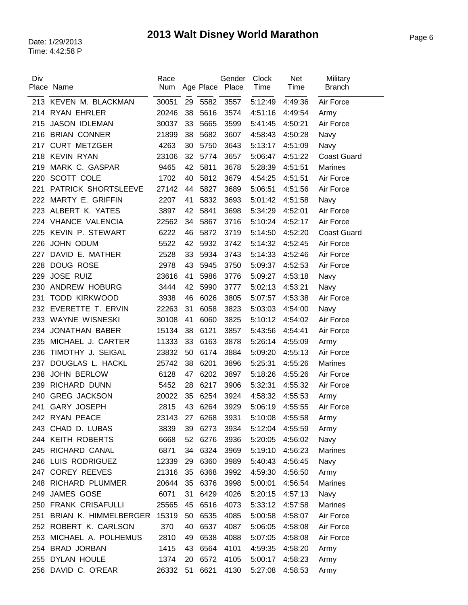| Div | Place Name              | Race<br>Num |    | Age Place | Gender<br>Place | Clock<br>Time   | Net<br>Time | Military<br><b>Branch</b> |
|-----|-------------------------|-------------|----|-----------|-----------------|-----------------|-------------|---------------------------|
|     |                         |             |    |           |                 |                 |             |                           |
|     | 213 KEVEN M. BLACKMAN   | 30051       | 29 | 5582      | 3557            | 5:12:49         | 4:49:36     | Air Force                 |
|     | 214 RYAN EHRLER         | 20246       | 38 | 5616      | 3574            | 4:51:16         | 4:49:54     | Army                      |
| 215 | <b>JASON IDLEMAN</b>    | 30037       | 33 | 5665      | 3599            | 5:41:45         | 4:50:21     | Air Force                 |
|     | 216 BRIAN CONNER        | 21899       | 38 | 5682      | 3607            | 4:58:43         | 4:50:28     | Navy                      |
| 217 | <b>CURT METZGER</b>     | 4263        | 30 | 5750      | 3643            | 5:13:17         | 4:51:09     | Navy                      |
| 218 | <b>KEVIN RYAN</b>       | 23106       | 32 | 5774      | 3657            | 5:06:47         | 4:51:22     | <b>Coast Guard</b>        |
| 219 | MARK C. GASPAR          | 9465        | 42 | 5811      | 3678            | 5:28:39         | 4:51:51     | <b>Marines</b>            |
| 220 | SCOTT COLE              | 1702        | 40 | 5812      | 3679            | 4:54:25         | 4:51:51     | Air Force                 |
| 221 | PATRICK SHORTSLEEVE     | 27142       | 44 | 5827      | 3689            | 5:06:51         | 4:51:56     | Air Force                 |
| 222 | MARTY E. GRIFFIN        | 2207        | 41 | 5832      | 3693            | 5:01:42         | 4:51:58     | Navy                      |
|     | 223 ALBERT K. YATES     | 3897        | 42 | 5841      | 3698            | 5:34:29         | 4:52:01     | Air Force                 |
|     | 224 VHANCE VALENCIA     | 22562       | 34 | 5867      | 3716            | 5:10:24         | 4:52:17     | Air Force                 |
| 225 | KEVIN P. STEWART        | 6222        | 46 | 5872      | 3719            | 5:14:50         | 4:52:20     | <b>Coast Guard</b>        |
| 226 | JOHN ODUM               | 5522        | 42 | 5932      | 3742            | 5:14:32         | 4:52:45     | Air Force                 |
| 227 | DAVID E. MATHER         | 2528        | 33 | 5934      | 3743            | 5:14:33         | 4:52:46     | Air Force                 |
| 228 | <b>DOUG ROSE</b>        | 2978        | 43 | 5945      | 3750            | 5:09:37         | 4:52:53     | Air Force                 |
| 229 | <b>JOSE RUIZ</b>        | 23616       | 41 | 5986      | 3776            | 5:09:27         | 4:53:18     | Navy                      |
| 230 | ANDREW HOBURG           | 3444        | 42 | 5990      | 3777            | 5:02:13         | 4:53:21     | Navy                      |
| 231 | <b>TODD KIRKWOOD</b>    | 3938        | 46 | 6026      | 3805            | 5:07:57         | 4:53:38     | Air Force                 |
|     | 232 EVERETTE T. ERVIN   | 22263       | 31 | 6058      | 3823            | 5:03:03         | 4:54:00     | Navy                      |
|     | 233 WAYNE WISNESKI      | 30108       | 41 | 6060      | 3825            | 5:10:12         | 4:54:02     | Air Force                 |
| 234 | <b>JONATHAN BABER</b>   | 15134       | 38 | 6121      | 3857            | 5:43:56         | 4:54:41     | Air Force                 |
| 235 | MICHAEL J. CARTER       | 11333       | 33 | 6163      | 3878            | 5:26:14         | 4:55:09     | Army                      |
| 236 | TIMOTHY J. SEIGAL       | 23832       | 50 | 6174      | 3884            | 5:09:20         | 4:55:13     | Air Force                 |
| 237 | DOUGLAS L. HACKL        | 25742       | 38 | 6201      | 3896            | 5:25:31         | 4:55:26     | <b>Marines</b>            |
| 238 | <b>JOHN BERLOW</b>      | 6128        | 47 | 6202      | 3897            | 5:18:26         | 4:55:26     | Air Force                 |
| 239 | RICHARD DUNN            | 5452        | 28 | 6217      | 3906            | 5:32:31         | 4:55:32     | Air Force                 |
| 240 | <b>GREG JACKSON</b>     | 20022       | 35 | 6254      | 3924            | 4:58:32         | 4:55:53     | Army                      |
| 241 | <b>GARY JOSEPH</b>      | 2815        | 43 | 6264      | 3929            | 5:06:19         | 4:55:55     | Air Force                 |
|     | 242 RYAN PEACE          | 23143       | 27 | 6268      | 3931            | 5:10:08 4:55:58 |             | Army                      |
|     | 243 CHAD D. LUBAS       | 3839        | 39 | 6273      | 3934            | 5:12:04         | 4:55:59     | Army                      |
|     | 244 KEITH ROBERTS       | 6668        | 52 | 6276      | 3936            | 5:20:05         | 4:56:02     | Navy                      |
|     | 245 RICHARD CANAL       | 6871        | 34 | 6324      | 3969            | 5:19:10         | 4:56:23     | <b>Marines</b>            |
|     | 246 LUIS RODRIGUEZ      | 12339       | 29 | 6360      | 3989            | 5:40:43         | 4:56:45     | Navy                      |
|     | 247 COREY REEVES        | 21316       | 35 | 6368      | 3992            | 4:59:30         | 4:56:50     | Army                      |
|     | 248 RICHARD PLUMMER     | 20644       | 35 | 6376      | 3998            | 5:00:01         | 4:56:54     | Marines                   |
| 249 | <b>JAMES GOSE</b>       | 6071        | 31 | 6429      | 4026            | 5:20:15         | 4:57:13     | Navy                      |
|     | 250 FRANK CRISAFULLI    | 25565       | 45 | 6516      | 4073            | 5:33:12         | 4:57:58     | Marines                   |
| 251 | BRIAN K. HIMMELBERGER   | 15319       | 50 | 6535      | 4085            | 5:00:58         | 4:58:07     | Air Force                 |
|     | 252 ROBERT K. CARLSON   | 370         | 40 | 6537      | 4087            | 5:06:05         | 4:58:08     | Air Force                 |
|     | 253 MICHAEL A. POLHEMUS | 2810        | 49 | 6538      | 4088            | 5:07:05         | 4:58:08     | Air Force                 |
|     | 254 BRAD JORBAN         | 1415        | 43 | 6564      | 4101            | 4:59:35         | 4:58:20     | Army                      |
|     | 255 DYLAN HOULE         | 1374        | 20 | 6572      | 4105            | 5:00:17         | 4:58:23     | Army                      |
|     | 256 DAVID C. O'REAR     | 26332       | 51 | 6621      | 4130            | 5:27:08         | 4:58:53     | Army                      |
|     |                         |             |    |           |                 |                 |             |                           |

l,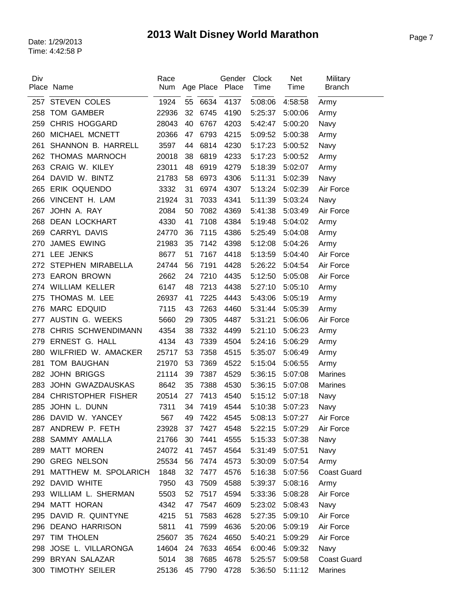| Div | Place Name                | Race<br>Num |    | Age Place | Gender<br>Place | <b>Clock</b><br>Time | Net<br>Time | Military<br><b>Branch</b> |
|-----|---------------------------|-------------|----|-----------|-----------------|----------------------|-------------|---------------------------|
| 257 | <b>STEVEN COLES</b>       | 1924        |    | 55 6634   | 4137            | 5:08:06              | 4:58:58     | Army                      |
| 258 | <b>TOM GAMBER</b>         | 22936       | 32 | 6745      | 4190            | 5:25:37              | 5:00:06     | Army                      |
| 259 | <b>CHRIS HOGGARD</b>      | 28043       | 40 | 6767      | 4203            | 5:42:47              | 5:00:20     | Navy                      |
| 260 | MICHAEL MCNETT            | 20366       | 47 | 6793      | 4215            | 5:09:52              | 5:00:38     | Army                      |
| 261 | SHANNON B. HARRELL        | 3597        | 44 | 6814      | 4230            | 5:17:23              | 5:00:52     | Navy                      |
| 262 | THOMAS MARNOCH            | 20018       | 38 | 6819      | 4233            | 5:17:23              | 5:00:52     | Army                      |
| 263 | CRAIG W. KILEY            | 23011       | 48 | 6919      | 4279            | 5:18:39              | 5:02:07     | Army                      |
| 264 | DAVID W. BINTZ            | 21783       | 58 | 6973      | 4306            | 5:11:31              | 5:02:39     | Navy                      |
| 265 | ERIK OQUENDO              | 3332        | 31 | 6974      | 4307            | 5:13:24              | 5:02:39     | Air Force                 |
|     | 266 VINCENT H. LAM        | 21924       | 31 | 7033      | 4341            | 5:11:39              | 5:03:24     | Navy                      |
| 267 | JOHN A. RAY               | 2084        | 50 | 7082      | 4369            | 5:41:38              | 5:03:49     | Air Force                 |
| 268 | <b>DEAN LOCKHART</b>      | 4330        | 41 | 7108      | 4384            | 5:19:48              | 5:04:02     | Army                      |
| 269 | CARRYL DAVIS              | 24770       | 36 | 7115      | 4386            | 5:25:49              | 5:04:08     | Army                      |
| 270 | <b>JAMES EWING</b>        | 21983       | 35 | 7142      | 4398            | 5:12:08              | 5:04:26     | Army                      |
| 271 | LEE JENKS                 | 8677        | 51 | 7167      | 4418            | 5:13:59              | 5:04:40     | Air Force                 |
| 272 | STEPHEN MIRABELLA         | 24744       | 56 | 7191      | 4428            | 5:26:22              | 5:04:54     | Air Force                 |
| 273 | <b>EARON BROWN</b>        | 2662        | 24 | 7210      | 4435            | 5:12:50              | 5:05:08     | Air Force                 |
| 274 | <b>WILLIAM KELLER</b>     | 6147        | 48 | 7213      | 4438            | 5:27:10              | 5:05:10     | Army                      |
| 275 | THOMAS M. LEE             | 26937       | 41 | 7225      | 4443            | 5:43:06              | 5:05:19     | Army                      |
| 276 | <b>MARC EDQUID</b>        | 7115        | 43 | 7263      | 4460            | 5:31:44              | 5:05:39     | Army                      |
| 277 | AUSTIN G. WEEKS           | 5660        | 29 | 7305      | 4487            | 5:31:21              | 5:06:06     | Air Force                 |
| 278 | CHRIS SCHWENDIMANN        | 4354        | 38 | 7332      | 4499            | 5:21:10              | 5:06:23     | Army                      |
| 279 | ERNEST G. HALL            | 4134        | 43 | 7339      | 4504            | 5:24:16              | 5:06:29     | Army                      |
| 280 | WILFRIED W. AMACKER       | 25717       | 53 | 7358      | 4515            | 5:35:07              | 5:06:49     | Army                      |
| 281 | <b>TOM BAUGHAN</b>        | 21970       | 53 | 7369      | 4522            | 5:15:04              | 5:06:55     | Army                      |
| 282 | <b>JOHN BRIGGS</b>        | 21114       | 39 | 7387      | 4529            | 5:36:15              | 5:07:08     | <b>Marines</b>            |
| 283 | <b>JOHN GWAZDAUSKAS</b>   | 8642        | 35 | 7388      | 4530            | 5:36:15              | 5:07:08     | <b>Marines</b>            |
| 284 | <b>CHRISTOPHER FISHER</b> | 20514       | 27 | 7413      | 4540            | 5:15:12              | 5:07:18     | Navy                      |
| 285 | JOHN L. DUNN              | 7311        | 34 | 7419      | 4544            | 5:10:38              | 5:07:23     | Navy                      |
|     | 286 DAVID W. YANCEY       | 567         |    |           | 49 7422 4545    | 5:08:13              | 5:07:27     | Air Force                 |
|     | 287 ANDREW P. FETH        | 23928       | 37 | 7427      | 4548            | 5:22:15              | 5:07:29     | Air Force                 |
|     | 288 SAMMY AMALLA          | 21766       | 30 | 7441      | 4555            | 5:15:33              | 5:07:38     | Navy                      |
|     | 289 MATT MOREN            | 24072       | 41 | 7457      | 4564            | 5:31:49              | 5:07:51     | Navy                      |
|     | 290 GREG NELSON           | 25534       | 56 | 7474      | 4573            | 5:30:09              | 5:07:54     | Army                      |
| 291 | MATTHEW M. SPOLARICH      | 1848        | 32 | 7477      | 4576            | 5:16:38              | 5:07:56     | <b>Coast Guard</b>        |
|     | 292 DAVID WHITE           | 7950        | 43 | 7509      | 4588            | 5:39:37              | 5:08:16     | Army                      |
|     | 293 WILLIAM L. SHERMAN    | 5503        | 52 | 7517      | 4594            | 5:33:36              | 5:08:28     | Air Force                 |
|     | 294 MATT HORAN            | 4342        | 47 | 7547      | 4609            | 5:23:02              | 5:08:43     | Navy                      |
|     | 295 DAVID R. QUINTYNE     | 4215        | 51 | 7583      | 4628            | 5:27:35              | 5:09:10     | Air Force                 |
|     | 296 DEANO HARRISON        | 5811        | 41 | 7599      | 4636            | 5:20:06              | 5:09:19     | Air Force                 |
| 297 | TIM THOLEN                | 25607       | 35 | 7624      | 4650            | 5:40:21              | 5:09:29     | Air Force                 |
| 298 | JOSE L. VILLARONGA        | 14604       | 24 | 7633      | 4654            | 6:00:46              | 5:09:32     | Navy                      |
|     | 299 BRYAN SALAZAR         | 5014        | 38 | 7685      | 4678            | 5:25:57              | 5:09:58     | <b>Coast Guard</b>        |
|     | 300 TIMOTHY SEILER        | 25136       | 45 | 7790      | 4728            | 5:36:50              | 5:11:12     | <b>Marines</b>            |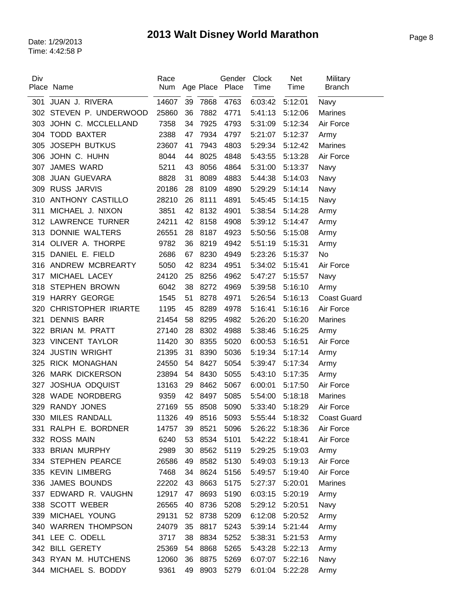| Div | Place Name                 | Race<br>Num   |    |           | Gender<br>Place | Clock<br>Time | Net<br>Time | Military<br><b>Branch</b> |
|-----|----------------------------|---------------|----|-----------|-----------------|---------------|-------------|---------------------------|
|     |                            |               |    | Age Place |                 |               |             |                           |
| 301 | JUAN J. RIVERA             | 14607         | 39 | 7868      | 4763            | 6:03:42       | 5:12:01     | Navy                      |
|     | 302 STEVEN P. UNDERWOOD    | 25860         | 36 | 7882      | 4771            | 5:41:13       | 5:12:06     | <b>Marines</b>            |
| 303 | JOHN C. MCCLELLAND         | 7358          | 34 | 7925      | 4793            | 5:31:09       | 5:12:34     | Air Force                 |
| 304 | <b>TODD BAXTER</b>         | 2388          | 47 | 7934      | 4797            | 5:21:07       | 5:12:37     | Army                      |
| 305 | <b>JOSEPH BUTKUS</b>       | 23607         | 41 | 7943      | 4803            | 5:29:34       | 5:12:42     | <b>Marines</b>            |
| 306 | JOHN C. HUHN               | 8044          | 44 | 8025      | 4848            | 5:43:55       | 5:13:28     | Air Force                 |
| 307 | <b>JAMES WARD</b>          | 5211          | 43 | 8056      | 4864            | 5:31:00       | 5:13:37     | Navy                      |
| 308 | <b>JUAN GUEVARA</b>        | 8828          | 31 | 8089      | 4883            | 5:44:38       | 5:14:03     | Navy                      |
|     | 309 RUSS JARVIS            | 20186         | 28 | 8109      | 4890            | 5:29:29       | 5:14:14     | Navy                      |
| 310 | <b>ANTHONY CASTILLO</b>    | 28210         | 26 | 8111      | 4891            | 5:45:45       | 5:14:15     | Navy                      |
| 311 | MICHAEL J. NIXON           | 3851          | 42 | 8132      | 4901            | 5:38:54       | 5:14:28     | Army                      |
|     | 312 LAWRENCE TURNER        | 24211         | 42 | 8158      | 4908            | 5:39:12       | 5:14:47     | Army                      |
| 313 | DONNIE WALTERS             | 26551         | 28 | 8187      | 4923            | 5:50:56       | 5:15:08     | Army                      |
| 314 | OLIVER A. THORPE           | 9782          | 36 | 8219      | 4942            | 5:51:19       | 5:15:31     | Army                      |
| 315 | DANIEL E. FIELD            | 2686          | 67 | 8230      | 4949            | 5:23:26       | 5:15:37     | <b>No</b>                 |
| 316 | ANDREW MCBREARTY           | 5050          | 42 | 8234      | 4951            | 5:34:02       | 5:15:41     | Air Force                 |
| 317 | MICHAEL LACEY              | 24120         | 25 | 8256      | 4962            | 5:47:27       | 5:15:57     | Navy                      |
| 318 | <b>STEPHEN BROWN</b>       | 6042          | 38 | 8272      | 4969            | 5:39:58       | 5:16:10     | Army                      |
| 319 | <b>HARRY GEORGE</b>        | 1545          | 51 | 8278      | 4971            | 5:26:54       | 5:16:13     | <b>Coast Guard</b>        |
| 320 | <b>CHRISTOPHER IRIARTE</b> | 1195          | 45 | 8289      | 4978            | 5:16:41       | 5:16:16     | Air Force                 |
| 321 | <b>DENNIS BARR</b>         | 21454         | 58 | 8295      | 4982            | 5:26:20       | 5:16:20     | <b>Marines</b>            |
| 322 | BRIAN M. PRATT             | 27140         | 28 | 8302      | 4988            | 5:38:46       | 5:16:25     | Army                      |
| 323 | <b>VINCENT TAYLOR</b>      | 11420         | 30 | 8355      | 5020            | 6:00:53       | 5:16:51     | Air Force                 |
| 324 | <b>JUSTIN WRIGHT</b>       | 21395         | 31 | 8390      | 5036            | 5:19:34       | 5:17:14     | Army                      |
| 325 | <b>RICK MONAGHAN</b>       | 24550         | 54 | 8427      | 5054            | 5:39:47       | 5:17:34     | Army                      |
| 326 | <b>MARK DICKERSON</b>      | 23894         | 54 | 8430      | 5055            | 5:43:10       | 5:17:35     | Army                      |
| 327 | <b>JOSHUA ODQUIST</b>      | 13163         | 29 | 8462      | 5067            | 6:00:01       | 5:17:50     | Air Force                 |
| 328 | <b>WADE NORDBERG</b>       | 9359          | 42 | 8497      | 5085            | 5:54:00       | 5:18:18     | <b>Marines</b>            |
| 329 | <b>RANDY JONES</b>         | 27169         | 55 | 8508      | 5090            | 5:33:40       | 5:18:29     | Air Force                 |
|     | 330 MILES RANDALL          | 11326 49 8516 |    |           | 5093            | 5:55:44       | 5:18:32     | <b>Coast Guard</b>        |
|     | 331 RALPH E. BORDNER       | 14757         | 39 | 8521      | 5096            | 5:26:22       | 5:18:36     | Air Force                 |
|     | 332 ROSS MAIN              | 6240          | 53 | 8534      | 5101            | 5:42:22       | 5:18:41     | Air Force                 |
|     | 333 BRIAN MURPHY           | 2989          | 30 | 8562      | 5119            | 5:29:25       | 5:19:03     | Army                      |
|     | 334 STEPHEN PEARCE         | 26586         | 49 | 8582      | 5130            | 5:49:03       | 5:19:13     | Air Force                 |
|     | 335 KEVIN LIMBERG          | 7468          | 34 | 8624      | 5156            | 5:49:57       | 5:19:40     | Air Force                 |
|     | 336 JAMES BOUNDS           | 22202         | 43 | 8663      | 5175            | 5:27:37       | 5:20:01     | <b>Marines</b>            |
|     | 337 EDWARD R. VAUGHN       | 12917         | 47 | 8693      | 5190            | 6:03:15       | 5:20:19     | Army                      |
|     | 338 SCOTT WEBER            | 26565         | 40 | 8736      | 5208            | 5:29:12       | 5:20:51     | Navy                      |
| 339 | MICHAEL YOUNG              | 29131         | 52 | 8738      | 5209            | 6:12:08       | 5:20:52     | Army                      |
|     | 340 WARREN THOMPSON        | 24079         | 35 | 8817      | 5243            | 5:39:14       | 5:21:44     | Army                      |
|     | 341 LEE C. ODELL           | 3717          | 38 | 8834      | 5252            | 5:38:31       | 5:21:53     | Army                      |
|     | 342 BILL GERETY            | 25369         | 54 | 8868      | 5265            | 5:43:28       | 5:22:13     | Army                      |
|     | 343 RYAN M. HUTCHENS       | 12060         | 36 | 8875      | 5269            | 6:07:07       | 5:22:16     | Navy                      |
|     | 344 MICHAEL S. BODDY       | 9361          | 49 | 8903      | 5279            | 6:01:04       | 5:22:28     | Army                      |
|     |                            |               |    |           |                 |               |             |                           |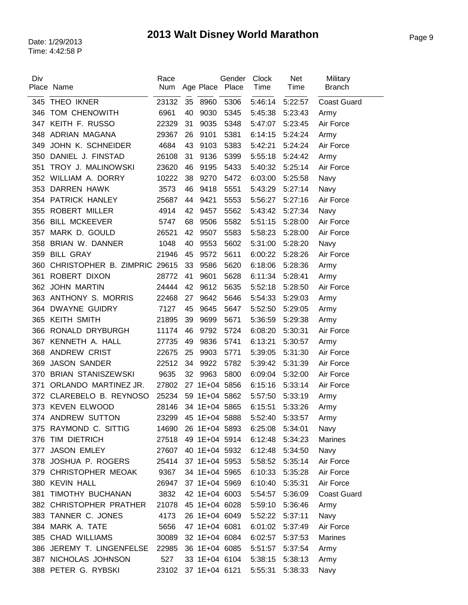| Div | Place Name                      | Race<br>Num         |    | Age Place     | Gender<br>Place | Clock<br>Time   | Net<br>Time | Military<br><b>Branch</b> |
|-----|---------------------------------|---------------------|----|---------------|-----------------|-----------------|-------------|---------------------------|
| 345 | THEO IKNER                      | 23132               |    | 35 8960       | 5306            | 5:46:14         | 5:22:57     | <b>Coast Guard</b>        |
| 346 | TOM CHENOWITH                   | 6961                | 40 | 9030          | 5345            | 5:45:38         | 5:23:43     | Army                      |
| 347 | KEITH F. RUSSO                  | 22329               | 31 | 9035          | 5348            | 5:47:07         | 5:23:45     | Air Force                 |
| 348 | ADRIAN MAGANA                   | 29367               | 26 | 9101          | 5381            | 6:14:15         | 5:24:24     | Army                      |
| 349 | JOHN K. SCHNEIDER               | 4684                | 43 | 9103          | 5383            | 5:42:21         | 5:24:24     | Air Force                 |
| 350 | DANIEL J. FINSTAD               | 26108               | 31 | 9136          | 5399            | 5:55:18         | 5:24:42     | Army                      |
| 351 | TROY J. MALINOWSKI              | 23620               | 46 | 9195          | 5433            | 5:40:32         | 5:25:14     | Air Force                 |
| 352 | WILLIAM A. DORRY                | 10222               | 38 | 9270          | 5472            | 6:03:00         | 5:25:58     | Navy                      |
| 353 | <b>DARREN HAWK</b>              | 3573                | 46 | 9418          | 5551            | 5:43:29         | 5:27:14     | Navy                      |
| 354 | PATRICK HANLEY                  | 25687               | 44 | 9421          | 5553            | 5:56:27         | 5:27:16     | Air Force                 |
| 355 | <b>ROBERT MILLER</b>            | 4914                | 42 | 9457          | 5562            | 5:43:42         | 5:27:34     | Navy                      |
| 356 | <b>BILL MCKEEVER</b>            | 5747                | 68 | 9506          | 5582            | 5:51:15         | 5:28:00     | Air Force                 |
| 357 | MARK D. GOULD                   | 26521               | 42 | 9507          | 5583            | 5:58:23         | 5:28:00     | Air Force                 |
| 358 | BRIAN W. DANNER                 | 1048                | 40 | 9553          | 5602            | 5:31:00         | 5:28:20     | Navy                      |
| 359 | <b>BILL GRAY</b>                | 21946               | 45 | 9572          | 5611            | 6:00:22         | 5:28:26     | Air Force                 |
| 360 | CHRISTOPHER B. ZIMPRIC 29615    |                     | 33 | 9586          | 5620            | 6:18:06         | 5:28:36     | Army                      |
| 361 | ROBERT DIXON                    | 28772               | 41 | 9601          | 5628            | 6:11:34         | 5:28:41     | Army                      |
| 362 | <b>JOHN MARTIN</b>              | 24444               | 42 | 9612          | 5635            | 5:52:18         | 5:28:50     | Air Force                 |
| 363 | ANTHONY S. MORRIS               | 22468               | 27 | 9642          | 5646            | 5:54:33         | 5:29:03     | Army                      |
| 364 | <b>DWAYNE GUIDRY</b>            | 7127                | 45 | 9645          | 5647            | 5:52:50         | 5:29:05     | Army                      |
| 365 | <b>KEITH SMITH</b>              | 21895               | 39 | 9699          | 5671            | 5:36:59         | 5:29:38     | Army                      |
| 366 | RONALD DRYBURGH                 | 11174               | 46 | 9792          | 5724            | 6:08:20         | 5:30:31     | Air Force                 |
| 367 | KENNETH A. HALL                 | 27735               | 49 | 9836          | 5741            | 6:13:21         | 5:30:57     | Army                      |
| 368 | <b>ANDREW CRIST</b>             | 22675               | 25 | 9903          | 5771            | 5:39:05         | 5:31:30     | Air Force                 |
| 369 | <b>JASON SANDER</b>             | 22512               | 34 | 9922          | 5782            | 5:39:42         | 5:31:39     | Air Force                 |
| 370 | <b>BRIAN STANISZEWSKI</b>       | 9635                | 32 | 9963          | 5800            | 6:09:04         | 5:32:00     | Air Force                 |
| 371 | ORLANDO MARTINEZ JR.            | 27802               |    |               | 27 1E+04 5856   | 6:15:16         | 5:33:14     | Air Force                 |
| 372 | CLAREBELO B. REYNOSO            | 25234               |    |               | 59 1E+04 5862   | 5:57:50         | 5:33:19     | Army                      |
|     | 373 KEVEN ELWOOD                | 28146               |    | 34 1E+04 5865 |                 | 6:15:51         | 5:33:26     | Army                      |
|     | 374 ANDREW SUTTON               | 23299 45 1E+04 5888 |    |               |                 | 5:52:40 5:33:57 |             | Army                      |
|     | 375 RAYMOND C. SITTIG           | 14690 26 1E+04 5893 |    |               |                 | 6:25:08 5:34:01 |             | Navy                      |
|     | 376 TIM DIETRICH                | 27518               |    |               | 49 1E+04 5914   | 6:12:48         | 5:34:23     | Marines                   |
|     | 377 JASON EMLEY                 | 27607 40 1E+04 5932 |    |               |                 | 6:12:48         | 5:34:50     | Navy                      |
|     | 378 JOSHUA P. ROGERS            | 25414               |    |               | 37 1E+04 5953   | 5:58:52         | 5:35:14     | Air Force                 |
|     | 379 CHRISTOPHER MEOAK 9367      |                     |    |               | 34 1E+04 5965   | 6:10:33         | 5:35:28     | Air Force                 |
|     | 380 KEVIN HALL                  | 26947 37 1E+04 5969 |    |               |                 | 6:10:40 5:35:31 |             | Air Force                 |
| 381 | TIMOTHY BUCHANAN                | 3832                |    |               | 42 1E+04 6003   | 5:54:57         | 5:36:09     | <b>Coast Guard</b>        |
|     | 382 CHRISTOPHER PRATHER         | 21078               |    |               | 45 1E+04 6028   | 5:59:10         | 5:36:46     | Army                      |
|     | 383 TANNER C. JONES             | 4173                |    |               | 26 1E+04 6049   | 5:52:22         | 5:37:11     | Navy                      |
|     | 384 MARK A. TATE                | 5656                |    | 47 1E+04 6081 |                 | 6:01:02         | 5:37:49     | Air Force                 |
|     | 385 CHAD WILLIAMS               | 30089               |    |               | 32 1E+04 6084   | 6:02:57         | 5:37:53     | Marines                   |
|     | 386 JEREMY T. LINGENFELSE 22985 |                     |    |               | 36 1E+04 6085   | 5:51:57         | 5:37:54     | Army                      |
|     | 387 NICHOLAS JOHNSON            | 527                 |    |               | 33 1E+04 6104   | 5:38:15         | 5:38:13     | Army                      |
|     | 388 PETER G. RYBSKI             | 23102               |    |               | 37 1E+04 6121   | 5:55:31         | 5:38:33     | Navy                      |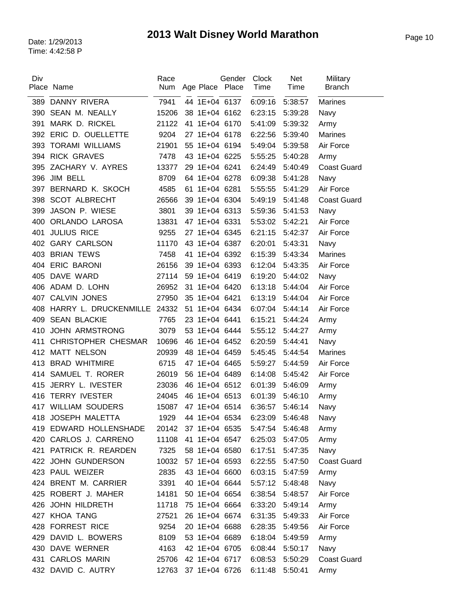| Div | Place Name                      | Race<br>Num | Age Place Place     | Gender | Clock<br>Time   | Net<br>Time | Military<br><b>Branch</b> |
|-----|---------------------------------|-------------|---------------------|--------|-----------------|-------------|---------------------------|
|     | 389 DANNY RIVERA                | 7941        | 44 1E+04 6137       |        | 6:09:16         | 5:38:57     | <b>Marines</b>            |
| 390 | <b>SEAN M. NEALLY</b>           | 15206       | 38 1E+04 6162       |        | 6:23:15         | 5:39:28     | Navy                      |
| 391 | MARK D. RICKEL                  | 21122       | 41 1E+04 6170       |        | 5:41:09         | 5:39:32     | Army                      |
|     | 392 ERIC D. OUELLETTE           | 9204        | 27 1E+04 6178       |        | 6:22:56         | 5:39:40     | <b>Marines</b>            |
| 393 | <b>TORAMI WILLIAMS</b>          | 21901       | 55 1E+04 6194       |        | 5:49:04         | 5:39:58     | Air Force                 |
|     | 394 RICK GRAVES                 | 7478        | 43 1E+04 6225       |        | 5:55:25         | 5:40:28     | Army                      |
| 395 | ZACHARY V. AYRES                | 13377       | 29 1E+04 6241       |        | 6:24:49         | 5:40:49     | <b>Coast Guard</b>        |
| 396 | JIM BELL                        | 8709        | 64 1E+04 6278       |        | 6:09:38         | 5:41:28     | Navy                      |
| 397 | BERNARD K. SKOCH                | 4585        | 61 1E+04 6281       |        | 5:55:55         | 5:41:29     | Air Force                 |
| 398 | <b>SCOT ALBRECHT</b>            | 26566       | 39 1E+04 6304       |        | 5:49:19         | 5:41:48     | <b>Coast Guard</b>        |
| 399 | JASON P. WIESE                  | 3801        | 39 1E+04 6313       |        | 5:59:36         | 5:41:53     | Navy                      |
| 400 | ORLANDO LAROSA                  | 13831       | 47 1E+04 6331       |        | 5:53:02         | 5:42:21     | Air Force                 |
| 401 | <b>JULIUS RICE</b>              | 9255        | 27 1E+04 6345       |        | 6:21:15         | 5:42:37     | Air Force                 |
| 402 | <b>GARY CARLSON</b>             | 11170       | 43 1E+04 6387       |        | 6:20:01         | 5:43:31     | Navy                      |
| 403 | <b>BRIAN TEWS</b>               | 7458        | 41 1E+04 6392       |        | 6:15:39         | 5:43:34     | <b>Marines</b>            |
|     | 404 ERIC BARONI                 | 26156       | 39 1E+04 6393       |        | 6:12:04         | 5:43:35     | Air Force                 |
| 405 | DAVE WARD                       | 27114       | 59 1E+04 6419       |        | 6:19:20         | 5:44:02     | Navy                      |
|     | 406 ADAM D. LOHN                | 26952       | 31 1E+04 6420       |        | 6:13:18         | 5:44:04     | Air Force                 |
| 407 | CALVIN JONES                    | 27950       | 35 1E+04 6421       |        | 6:13:19         | 5:44:04     | Air Force                 |
|     | 408 HARRY L. DRUCKENMILLE 24332 |             | 51 1E+04 6434       |        | 6:07:04         | 5:44:14     | Air Force                 |
| 409 | <b>SEAN BLACKIE</b>             | 7765        | 23 1E+04 6441       |        | 6:15:21         | 5:44:24     | Army                      |
| 410 | <b>JOHN ARMSTRONG</b>           | 3079        | 53 1E+04 6444       |        | 5:55:12         | 5:44:27     | Army                      |
| 411 | CHRISTOPHER CHESMAR             | 10696       | 46 1E+04 6452       |        | 6:20:59         | 5:44:41     | Navy                      |
| 412 | <b>MATT NELSON</b>              | 20939       | 48 1E+04 6459       |        | 5:45:45         | 5:44:54     | <b>Marines</b>            |
| 413 | <b>BRAD WHITMIRE</b>            | 6715        | 47 1E+04 6465       |        | 5:59:27         | 5:44:59     | Air Force                 |
| 414 | SAMUEL T. RORER                 | 26019       | 56 1E+04 6489       |        | 6:14:08         | 5:45:42     | Air Force                 |
| 415 | JERRY L. IVESTER                | 23036       | 46 1E+04 6512       |        | 6:01:39         | 5:46:09     | Army                      |
| 416 | <b>TERRY IVESTER</b>            | 24045       | 46 1E+04 6513       |        | 6:01:39         | 5:46:10     | Army                      |
|     | 417 WILLIAM SOUDERS             | 15087       | 47 1E+04 6514       |        | 6:36:57         | 5:46:14     | Navy                      |
| 418 | JOSEPH MALETTA                  | 1929        | 44 1E+04 6534       |        | 6:23:09         | 5:46:48     | Navy                      |
|     | 419 EDWARD HOLLENSHADE          |             | 20142 37 1E+04 6535 |        | 5:47:54 5:46:48 |             | Army                      |
|     | 420 CARLOS J. CARRENO           | 11108       | 41 1E+04 6547       |        | 6:25:03         | 5:47:05     | Army                      |
|     | 421 PATRICK R. REARDEN          | 7325        | 58 1E+04 6580       |        | 6:17:51         | 5:47:35     | Navy                      |
|     | 422 JOHN GUNDERSON              | 10032       | 57 1E+04 6593       |        | 6:22:55         | 5:47:50     | <b>Coast Guard</b>        |
|     | 423 PAUL WEIZER                 | 2835        | 43 1E+04 6600       |        | 6:03:15         | 5:47:59     | Army                      |
|     | 424 BRENT M. CARRIER            | 3391        | 40 1E+04 6644       |        | 5:57:12         | 5:48:48     | Navy                      |
|     | 425 ROBERT J. MAHER             | 14181       | 50 1E+04 6654       |        | 6:38:54         | 5:48:57     | Air Force                 |
|     | 426 JOHN HILDRETH               | 11718       | 75 1E+04 6664       |        | 6:33:20         | 5:49:14     | Army                      |
|     | 427 KHOA TANG                   | 27521       | 26 1E+04 6674       |        | 6:31:35         | 5:49:33     | Air Force                 |
|     | 428 FORREST RICE                | 9254        | 20 1E+04 6688       |        | 6:28:35         | 5:49:56     | Air Force                 |
|     | 429 DAVID L. BOWERS             | 8109        | 53 1E+04 6689       |        | 6:18:04         | 5:49:59     | Army                      |
|     | 430 DAVE WERNER                 | 4163        | 42 1E+04 6705       |        | 6:08:44         | 5:50:17     | Navy                      |
| 431 | <b>CARLOS MARIN</b>             | 25706       | 42 1E+04 6717       |        | 6:08:53         | 5:50:29     | <b>Coast Guard</b>        |
|     | 432 DAVID C. AUTRY              | 12763       | 37 1E+04 6726       |        | 6:11:48         | 5:50:41     | Army                      |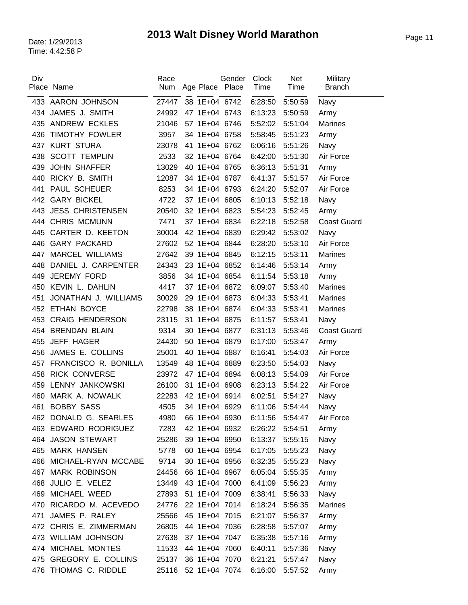| Div | Place Name                | Race<br>Num | Age Place Place     | Gender | <b>Clock</b><br>Time | Net<br>Time     | Military<br><b>Branch</b> |
|-----|---------------------------|-------------|---------------------|--------|----------------------|-----------------|---------------------------|
|     | 433 AARON JOHNSON         | 27447       | 38 1E+04 6742       |        | 6:28:50              | 5:50:59         | Navy                      |
| 434 | JAMES J. SMITH            | 24992       | 47 1E+04 6743       |        | 6:13:23              | 5:50:59         | Army                      |
| 435 | <b>ANDREW ECKLES</b>      | 21046       | 57 1E+04 6746       |        | 5:52:02              | 5:51:04         | <b>Marines</b>            |
| 436 | <b>TIMOTHY FOWLER</b>     | 3957        | 34 1E+04 6758       |        | 5:58:45              | 5:51:23         | Army                      |
| 437 | <b>KURT STURA</b>         | 23078       | 41 1E+04 6762       |        | 6:06:16              | 5:51:26         | Navy                      |
| 438 | <b>SCOTT TEMPLIN</b>      | 2533        | 32 1E+04 6764       |        | 6:42:00              | 5:51:30         | Air Force                 |
| 439 | <b>JOHN SHAFFER</b>       | 13029       | 40 1E+04 6765       |        | 6:36:13              | 5:51:31         | Army                      |
| 440 | RICKY B. SMITH            | 12087       | 34 1E+04 6787       |        | 6:41:37              | 5:51:57         | Air Force                 |
| 441 | PAUL SCHEUER              | 8253        | 34 1E+04 6793       |        | 6:24:20              | 5:52:07         | Air Force                 |
| 442 | <b>GARY BICKEL</b>        | 4722        | 37 1E+04 6805       |        | 6:10:13              | 5:52:18         | Navy                      |
| 443 | <b>JESS CHRISTENSEN</b>   | 20540       | 32 1E+04 6823       |        | 5:54:23              | 5:52:45         | Army                      |
| 444 | <b>CHRIS MCMUNN</b>       | 7471        | 37 1E+04 6834       |        | 6:22:18              | 5:52:58         | <b>Coast Guard</b>        |
| 445 | CARTER D. KEETON          | 30004       | 42 1E+04 6839       |        | 6:29:42              | 5:53:02         | Navy                      |
| 446 | <b>GARY PACKARD</b>       | 27602       | 52 1E+04 6844       |        | 6:28:20              | 5:53:10         | Air Force                 |
| 447 | <b>MARCEL WILLIAMS</b>    | 27642       | 39 1E+04 6845       |        | 6:12:15              | 5:53:11         | <b>Marines</b>            |
| 448 | DANIEL J. CARPENTER       | 24343       | 23 1E+04 6852       |        | 6:14:46              | 5:53:14         | Army                      |
| 449 | JEREMY FORD               | 3856        | 34 1E+04 6854       |        | 6:11:54              | 5:53:18         | Army                      |
| 450 | KEVIN L. DAHLIN           | 4417        | 37 1E+04 6872       |        | 6:09:07              | 5:53:40         | <b>Marines</b>            |
| 451 | JONATHAN J. WILLIAMS      | 30029       | 29 1E+04 6873       |        | 6:04:33              | 5:53:41         | <b>Marines</b>            |
|     | 452 ETHAN BOYCE           | 22798       | 38 1E+04 6874       |        | 6:04:33              | 5:53:41         | <b>Marines</b>            |
| 453 | <b>CRAIG HENDERSON</b>    | 23115       | 31 1E+04 6875       |        | 6:11:57              | 5:53:41         | Navy                      |
| 454 | <b>BRENDAN BLAIN</b>      | 9314        | 30 1E+04 6877       |        | 6:31:13              | 5:53:46         | <b>Coast Guard</b>        |
| 455 | <b>JEFF HAGER</b>         | 24430       | 50 1E+04 6879       |        | 6:17:00              | 5:53:47         | Army                      |
| 456 | JAMES E. COLLINS          | 25001       | 40 1E+04 6887       |        | 6:16:41              | 5:54:03         | Air Force                 |
| 457 | FRANCISCO R. BONILLA      | 13549       | 48 1E+04 6889       |        | 6:23:50              | 5:54:03         | Navy                      |
| 458 | <b>RICK CONVERSE</b>      | 23972       | 47 1E+04 6894       |        | 6:08:13              | 5:54:09         | Air Force                 |
| 459 | LENNY JANKOWSKI           | 26100       | 31 1E+04 6908       |        | 6:23:13              | 5:54:22         | Air Force                 |
| 460 | MARK A. NOWALK            | 22283       | 42 1E+04 6914       |        | 6:02:51              | 5:54:27         | Navy                      |
| 461 | <b>BOBBY SASS</b>         | 4505        | 34 1E+04 6929       |        | 6:11:06              | 5:54:44         | Navy                      |
|     | 462 DONALD G. SEARLES     |             | 4980 66 1E+04 6930  |        |                      | 6:11:56 5:54:47 | Air Force                 |
|     | 463 EDWARD RODRIGUEZ      | 7283        | 42 1E+04 6932       |        | 6:26:22              | 5:54:51         | Army                      |
|     | 464 JASON STEWART         | 25286       | 39 1E+04 6950       |        | 6:13:37              | 5:55:15         | Navy                      |
|     | 465 MARK HANSEN           | 5778        | 60 1E+04 6954       |        | 6:17:05              | 5:55:23         | Navy                      |
| 466 | MICHAEL-RYAN MCCABE       | 9714        | 30 1E+04 6956       |        | 6:32:35              | 5:55:23         | Navy                      |
| 467 | <b>MARK ROBINSON</b>      |             | 24456 66 1E+04 6967 |        | 6:05:04              | 5:55:35         | Army                      |
| 468 | JULIO E. VELEZ            | 13449       | 43 1E+04 7000       |        | 6:41:09              | 5:56:23         | Army                      |
| 469 | MICHAEL WEED              | 27893       | 51 1E+04 7009       |        | 6:38:41              | 5:56:33         | Navy                      |
|     | 470 RICARDO M. ACEVEDO    | 24776       | 22 1E+04 7014       |        | 6:18:24              | 5:56:35         | <b>Marines</b>            |
| 471 | JAMES P. RALEY            | 25566       | 45 1E+04 7015       |        | 6:21:07              | 5:56:37         | Army                      |
|     | 472 CHRIS E. ZIMMERMAN    | 26805       | 44 1E+04 7036       |        | 6:28:58              | 5:57:07         | Army                      |
|     | 473 WILLIAM JOHNSON       | 27638       | 37 1E+04 7047       |        | 6:35:38              | 5:57:16         | Army                      |
| 474 | MICHAEL MONTES            | 11533       | 44 1E+04 7060       |        | 6:40:11              | 5:57:36         | Navy                      |
| 475 | <b>GREGORY E. COLLINS</b> | 25137       | 36 1E+04 7070       |        | 6:21:21              | 5:57:47         | Navy                      |
|     | 476 THOMAS C. RIDDLE      | 25116       | 52 1E+04 7074       |        | 6:16:00              | 5:57:52         | Army                      |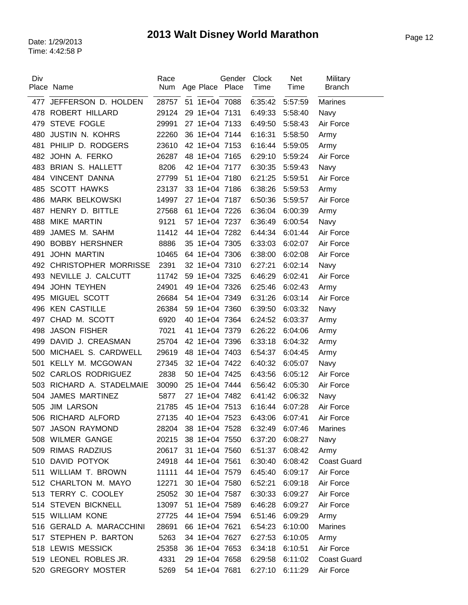| Div | Place Name                  | Race<br><b>Num</b>  |               | Gender<br>Age Place Place | Clock<br>Time | Net<br>Time     | Military<br><b>Branch</b> |
|-----|-----------------------------|---------------------|---------------|---------------------------|---------------|-----------------|---------------------------|
|     |                             |                     |               |                           |               |                 |                           |
| 477 | JEFFERSON D. HOLDEN         | 28757 51 1E+04 7088 |               |                           | 6:35:42       | 5:57:59         | <b>Marines</b>            |
| 478 | ROBERT HILLARD              | 29124               | 29 1E+04 7131 |                           | 6:49:33       | 5:58:40         | Navy                      |
| 479 | <b>STEVE FOGLE</b>          | 29991               | 27 1E+04 7133 |                           | 6:49:50       | 5:58:43         | Air Force                 |
| 480 | <b>JUSTIN N. KOHRS</b>      | 22260               | 36 1E+04 7144 |                           | 6:16:31       | 5:58:50         | Army                      |
| 481 | PHILIP D. RODGERS           | 23610               | 42 1E+04 7153 |                           | 6:16:44       | 5:59:05         | Army                      |
| 482 | JOHN A. FERKO               | 26287               | 48 1E+04 7165 |                           | 6:29:10       | 5:59:24         | Air Force                 |
| 483 | <b>BRIAN S. HALLETT</b>     | 8206                | 42 1E+04 7177 |                           | 6:30:35       | 5:59:43         | Navy                      |
| 484 | VINCENT DANNA               | 27799               | 51 1E+04 7180 |                           | 6:21:25       | 5:59:51         | Air Force                 |
| 485 | <b>SCOTT HAWKS</b>          | 23137               | 33 1E+04 7186 |                           | 6:38:26       | 5:59:53         | Army                      |
| 486 | <b>MARK BELKOWSKI</b>       | 14997               | 27 1E+04 7187 |                           | 6:50:36       | 5:59:57         | Air Force                 |
| 487 | HENRY D. BITTLE             | 27568               | 61 1E+04 7226 |                           | 6:36:04       | 6:00:39         | Army                      |
| 488 | <b>MIKE MARTIN</b>          | 9121                | 57 1E+04 7237 |                           | 6:36:49       | 6:00:54         | Navy                      |
| 489 | JAMES M. SAHM               | 11412               | 44 1E+04 7282 |                           | 6:44:34       | 6:01:44         | Air Force                 |
| 490 | <b>BOBBY HERSHNER</b>       | 8886                | 35 1E+04 7305 |                           | 6:33:03       | 6:02:07         | Air Force                 |
| 491 | <b>JOHN MARTIN</b>          | 10465               | 64 1E+04 7306 |                           | 6:38:00       | 6:02:08         | Air Force                 |
| 492 | <b>CHRISTOPHER MORRISSE</b> | 2391                | 32 1E+04 7310 |                           | 6:27:21       | 6:02:14         | Navy                      |
| 493 | NEVILLE J. CALCUTT          | 11742               | 59 1E+04 7325 |                           | 6:46:29       | 6:02:41         | Air Force                 |
| 494 | <b>JOHN TEYHEN</b>          | 24901               | 49 1E+04 7326 |                           | 6:25:46       | 6:02:43         | Army                      |
| 495 | MIGUEL SCOTT                | 26684               | 54 1E+04 7349 |                           | 6:31:26       | 6:03:14         | Air Force                 |
| 496 | <b>KEN CASTILLE</b>         | 26384               | 59 1E+04 7360 |                           | 6:39:50       | 6:03:32         | Navy                      |
| 497 | CHAD M. SCOTT               | 6920                | 40 1E+04 7364 |                           | 6:24:52       | 6:03:37         | Army                      |
| 498 | <b>JASON FISHER</b>         | 7021                | 41 1E+04 7379 |                           | 6:26:22       | 6:04:06         | Army                      |
| 499 | DAVID J. CREASMAN           | 25704               | 42 1E+04 7396 |                           | 6:33:18       | 6:04:32         | Army                      |
| 500 | MICHAEL S. CARDWELL         | 29619               | 48 1E+04 7403 |                           | 6:54:37       | 6:04:45         | Army                      |
| 501 | KELLY M. MCGOWAN            | 27345               | 32 1E+04 7422 |                           | 6:40:32       | 6:05:07         | Navy                      |
| 502 | <b>CARLOS RODRIGUEZ</b>     | 2838                | 50 1E+04 7425 |                           | 6:43:56       | 6:05:12         | Air Force                 |
| 503 | RICHARD A. STADELMAIE       | 30090               | 25 1E+04 7444 |                           | 6:56:42       | 6:05:30         | Air Force                 |
| 504 | <b>JAMES MARTINEZ</b>       | 5877                | 27 1E+04 7482 |                           | 6:41:42       | 6:06:32         | Navy                      |
| 505 | <b>JIM LARSON</b>           | 21785               | 45 1E+04 7513 |                           | 6:16:44       | 6:07:28         | Air Force                 |
|     | 506 RICHARD ALFORD          | 27135 40 1E+04 7523 |               |                           |               | 6:43:06 6:07:41 | Air Force                 |
|     | 507 JASON RAYMOND           | 28204 38 1E+04 7528 |               |                           | 6:32:49       | 6:07:46         | Marines                   |
|     | 508 WILMER GANGE            | 20215               | 38 1E+04 7550 |                           | 6:37:20       | 6:08:27         | Navy                      |
|     | 509 RIMAS RADZIUS           | 20617 31 1E+04 7560 |               |                           | 6:51:37       | 6:08:42         | Army                      |
|     | 510 DAVID POTYOK            | 24918               | 44 1E+04 7561 |                           | 6:30:40       | 6:08:42         | <b>Coast Guard</b>        |
|     | 511 WILLIAM T. BROWN        | 11111               | 44 1E+04 7579 |                           | 6:45:40       | 6:09:17         | Air Force                 |
|     | 512 CHARLTON M. MAYO        | 12271               | 30 1E+04 7580 |                           | 6:52:21       | 6:09:18         | Air Force                 |
|     | 513 TERRY C. COOLEY         | 25052               | 30 1E+04 7587 |                           | 6:30:33       | 6:09:27         | Air Force                 |
|     | 514 STEVEN BICKNELL         | 13097               | 51 1E+04 7589 |                           | 6:46:28       | 6:09:27         | Air Force                 |
|     | 515 WILLIAM KONE            | 27725               | 44 1E+04 7594 |                           | 6:51:46       | 6:09:29         | Army                      |
|     | 516 GERALD A. MARACCHINI    | 28691               | 66 1E+04 7621 |                           | 6:54:23       | 6:10:00         | Marines                   |
|     | 517 STEPHEN P. BARTON       | 5263                | 34 1E+04 7627 |                           | 6:27:53       | 6:10:05         | Army                      |
|     | 518 LEWIS MESSICK           | 25358               | 36 1E+04 7653 |                           | 6:34:18       | 6:10:51         | Air Force                 |
|     | 519 LEONEL ROBLES JR.       | 4331                | 29 1E+04 7658 |                           | 6:29:58       | 6:11:02         | <b>Coast Guard</b>        |
|     | 520 GREGORY MOSTER          | 5269                | 54 1E+04 7681 |                           | 6:27:10       | 6:11:29         | Air Force                 |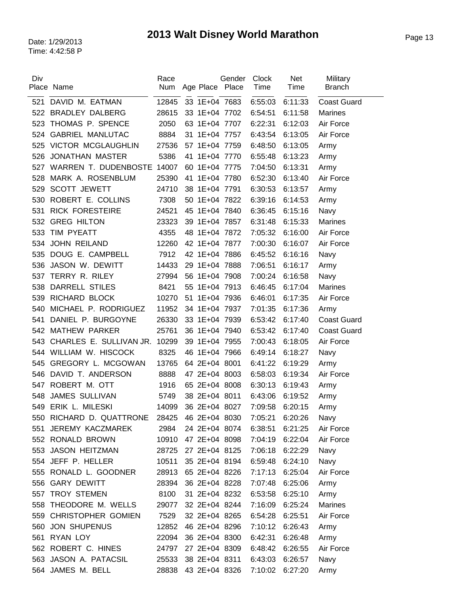| Div   | Place Name                 | Race<br><b>Num</b>  |               | Gender<br>Age Place Place | Clock<br>Time   | Net<br>Time | Military<br><b>Branch</b> |
|-------|----------------------------|---------------------|---------------|---------------------------|-----------------|-------------|---------------------------|
| 521   | DAVID M. EATMAN            | 12845               | 33 1E+04 7683 |                           | 6:55:03         | 6:11:33     | <b>Coast Guard</b>        |
| 522   | <b>BRADLEY DALBERG</b>     | 28615               | 33 1E+04 7702 |                           | 6:54:51         | 6:11:58     | <b>Marines</b>            |
| 523   | THOMAS P. SPENCE           | 2050                | 63 1E+04 7707 |                           | 6:22:31         | 6:12:03     | Air Force                 |
| 524   | <b>GABRIEL MANLUTAC</b>    | 8884                | 31 1E+04 7757 |                           | 6:43:54         | 6:13:05     | Air Force                 |
|       | 525 VICTOR MCGLAUGHLIN     | 27536               | 57 1E+04 7759 |                           | 6:48:50         | 6:13:05     | Army                      |
| 526   | <b>JONATHAN MASTER</b>     | 5386                | 41 1E+04 7770 |                           | 6:55:48         | 6:13:23     | Army                      |
| 527   | WARREN T. DUDENBOSTE 14007 |                     | 60 1E+04 7775 |                           | 7:04:50         | 6:13:31     | Army                      |
| 528   | MARK A. ROSENBLUM          | 25390               | 41 1E+04 7780 |                           | 6:52:30         | 6:13:40     | Air Force                 |
| 529   | <b>SCOTT JEWETT</b>        | 24710               | 38 1E+04 7791 |                           | 6:30:53         | 6:13:57     | Army                      |
| 530   | ROBERT E. COLLINS          | 7308                | 50 1E+04 7822 |                           | 6:39:16         | 6:14:53     | Army                      |
| 531   | <b>RICK FORESTEIRE</b>     | 24521               | 45 1E+04 7840 |                           | 6:36:45         | 6:15:16     | Navy                      |
|       | 532 GREG HILTON            | 23323               | 39 1E+04 7857 |                           | 6:31:48         | 6:15:33     | <b>Marines</b>            |
| 533   | TIM PYEATT                 | 4355                | 48 1E+04 7872 |                           | 7:05:32         | 6:16:00     | Air Force                 |
| 534   | <b>JOHN REILAND</b>        | 12260               | 42 1E+04 7877 |                           | 7:00:30         | 6:16:07     | Air Force                 |
| 535   | DOUG E. CAMPBELL           | 7912                | 42 1E+04 7886 |                           | 6:45:52         | 6:16:16     | Navy                      |
| 536   | JASON W. DEWITT            | 14433               | 29 1E+04 7888 |                           | 7:06:51         | 6:16:17     | Army                      |
| 537   | TERRY R. RILEY             | 27994               | 56 1E+04 7908 |                           | 7:00:24         | 6:16:58     | Navy                      |
| 538   | <b>DARRELL STILES</b>      | 8421                | 55 1E+04 7913 |                           | 6:46:45         | 6:17:04     | <b>Marines</b>            |
| 539   | RICHARD BLOCK              | 10270               | 51 1E+04 7936 |                           | 6:46:01         | 6:17:35     | Air Force                 |
| 540   | MICHAEL P. RODRIGUEZ       | 11952               | 34 1E+04 7937 |                           | 7:01:35         | 6:17:36     | Army                      |
| 541   | DANIEL P. BURGOYNE         | 26330               | 33 1E+04 7939 |                           | 6:53:42         | 6:17:40     | <b>Coast Guard</b>        |
| 542   | <b>MATHEW PARKER</b>       | 25761               | 36 1E+04 7940 |                           | 6:53:42         | 6:17:40     | <b>Coast Guard</b>        |
| 543   | CHARLES E. SULLIVAN JR.    | 10299               | 39 1E+04 7955 |                           | 7:00:43         | 6:18:05     | Air Force                 |
| 544 - | WILLIAM W. HISCOCK         | 8325                | 46 1E+04 7966 |                           | 6:49:14         | 6:18:27     | Navy                      |
| 545   | <b>GREGORY L. MCGOWAN</b>  | 13765               | 64 2E+04 8001 |                           | 6:41:22         | 6:19:29     | Army                      |
| 546   | DAVID T. ANDERSON          | 8888                | 47 2E+04 8003 |                           | 6:58:03         | 6:19:34     | Air Force                 |
| 547   | ROBERT M. OTT              | 1916                | 65 2E+04 8008 |                           | 6:30:13         | 6:19:43     | Army                      |
| 548   | <b>JAMES SULLIVAN</b>      | 5749                | 38 2E+04 8011 |                           | 6:43:06         | 6:19:52     | Army                      |
|       | 549 ERIK L. MILESKI        | 14099               | 36 2E+04 8027 |                           | 7:09:58         | 6:20:15     | Army                      |
|       | 550 RICHARD D. QUATTRONE   | 28425 46 2E+04 8030 |               |                           | 7:05:21 6:20:26 |             | Navy                      |
|       | 551 JEREMY KACZMAREK       | 2984                |               | 24 2E+04 8074             | 6:38:51         | 6:21:25     | Air Force                 |
|       | 552 RONALD BROWN           | 10910               |               | 47 2E+04 8098             | 7:04:19         | 6:22:04     | Air Force                 |
|       | 553 JASON HEITZMAN         | 28725               |               | 27 2E+04 8125             | 7:06:18         | 6:22:29     | Navy                      |
|       | 554 JEFF P. HELLER         | 10511               |               | 35 2E+04 8194             | 6:59:48         | 6:24:10     | Navy                      |
|       | 555 RONALD L. GOODNER      | 28913               |               | 65 2E+04 8226             | 7:17:13         | 6:25:04     | Air Force                 |
|       | 556 GARY DEWITT            | 28394               | 36 2E+04 8228 |                           | 7:07:48         | 6:25:06     | Army                      |
|       | 557 TROY STEMEN            | 8100                | 31 2E+04 8232 |                           | 6:53:58         | 6:25:10     | Army                      |
|       | 558 THEODORE M. WELLS      | 29077               |               | 32 2E+04 8244             | 7:16:09         | 6:25:24     | Marines                   |
|       | 559 CHRISTOPHER GOMIEN     | 7529                | 32 2E+04 8265 |                           | 6:54:28         | 6:25:51     | Air Force                 |
|       | 560 JON SHUPENUS           | 12852               |               | 46 2E+04 8296             | 7:10:12         | 6:26:43     | Army                      |
|       | 561 RYAN LOY               | 22094               |               | 36 2E+04 8300             | 6:42:31         | 6:26:48     | Army                      |
|       | 562 ROBERT C. HINES        | 24797               | 27 2E+04 8309 |                           | 6:48:42         | 6:26:55     | Air Force                 |
|       | 563 JASON A. PATACSIL      | 25533               | 38 2E+04 8311 |                           | 6:43:03         | 6:26:57     | Navy                      |
|       | 564 JAMES M. BELL          | 28838               |               | 43 2E+04 8326             | 7:10:02         | 6:27:20     | Army                      |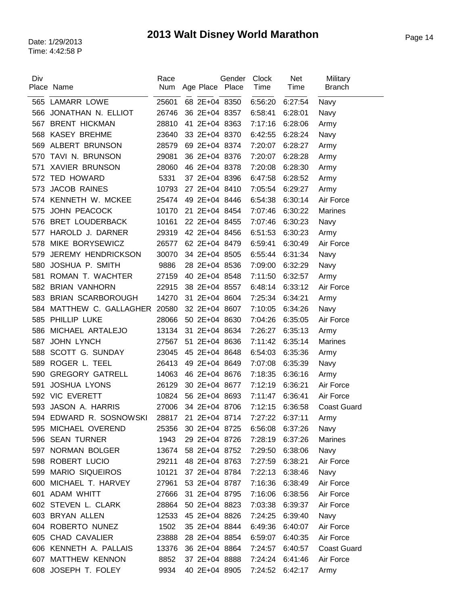| Div | Place Name                 | Race<br>Num | Age Place Place | Gender | <b>Clock</b><br>Time | <b>Net</b><br>Time | Military<br><b>Branch</b> |
|-----|----------------------------|-------------|-----------------|--------|----------------------|--------------------|---------------------------|
|     | 565 LAMARR LOWE            | 25601       | 68 2E+04 8350   |        | 6:56:20              | 6:27:54            | Navy                      |
| 566 | JONATHAN N. ELLIOT         | 26746       | 36 2E+04 8357   |        | 6:58:41              | 6:28:01            | Navy                      |
| 567 | <b>BRENT HICKMAN</b>       | 28810       | 41 2E+04 8363   |        | 7:17:16              | 6:28:06            | Army                      |
| 568 | <b>KASEY BREHME</b>        | 23640       | 33 2E+04 8370   |        | 6:42:55              | 6:28:24            | Navy                      |
| 569 | ALBERT BRUNSON             | 28579       | 69 2E+04 8374   |        | 7:20:07              | 6:28:27            | Army                      |
| 570 | TAVI N. BRUNSON            | 29081       | 36 2E+04 8376   |        | 7:20:07              | 6:28:28            | Army                      |
| 571 | <b>XAVIER BRUNSON</b>      | 28060       | 46 2E+04 8378   |        | 7:20:08              | 6:28:30            | Army                      |
| 572 | <b>TED HOWARD</b>          | 5331        | 37 2E+04 8396   |        | 6:47:58              | 6:28:52            | Army                      |
| 573 | <b>JACOB RAINES</b>        | 10793       | 27 2E+04 8410   |        | 7:05:54              | 6:29:27            | Army                      |
| 574 | KENNETH W. MCKEE           | 25474       | 49 2E+04 8446   |        | 6:54:38              | 6:30:14            | Air Force                 |
| 575 | <b>JOHN PEACOCK</b>        | 10170       | 21 2E+04 8454   |        | 7:07:46              | 6:30:22            | <b>Marines</b>            |
| 576 | <b>BRET LOUDERBACK</b>     | 10161       | 22 2E+04 8455   |        | 7:07:46              | 6:30:23            | Navy                      |
| 577 | HAROLD J. DARNER           | 29319       | 42 2E+04 8456   |        | 6:51:53              | 6:30:23            | Army                      |
| 578 | MIKE BORYSEWICZ            | 26577       | 62 2E+04 8479   |        | 6:59:41              | 6:30:49            | Air Force                 |
| 579 | <b>JEREMY HENDRICKSON</b>  | 30070       | 34 2E+04 8505   |        | 6:55:44              | 6:31:34            | Navy                      |
| 580 | JOSHUA P. SMITH            | 9886        | 28 2E+04 8536   |        | 7:09:00              | 6:32:29            | Navy                      |
| 581 | ROMAN T. WACHTER           | 27159       | 40 2E+04 8548   |        | 7:11:50              | 6:32:57            | Army                      |
| 582 | <b>BRIAN VANHORN</b>       | 22915       | 38 2E+04 8557   |        | 6:48:14              | 6:33:12            | Air Force                 |
| 583 | <b>BRIAN SCARBOROUGH</b>   | 14270       | 31 2E+04 8604   |        | 7:25:34              | 6:34:21            | Army                      |
| 584 | MATTHEW C. GALLAGHER 20580 |             | 32 2E+04 8607   |        | 7:10:05              | 6:34:26            | Navy                      |
| 585 | PHILLIP LUKE               | 28066       | 50 2E+04 8630   |        | 7:04:26              | 6:35:05            | Air Force                 |
| 586 | MICHAEL ARTALEJO           | 13134       | 31 2E+04 8634   |        | 7:26:27              | 6:35:13            | Army                      |
| 587 | <b>JOHN LYNCH</b>          | 27567       | 51 2E+04 8636   |        | 7:11:42              | 6:35:14            | <b>Marines</b>            |
| 588 | SCOTT G. SUNDAY            | 23045       | 45 2E+04 8648   |        | 6:54:03              | 6:35:36            | Army                      |
| 589 | ROGER L. TEEL              | 26413       | 49 2E+04 8649   |        | 7:07:08              | 6:35:39            | Navy                      |
| 590 | <b>GREGORY GATRELL</b>     | 14063       | 46 2E+04 8676   |        | 7:18:35              | 6:36:16            | Army                      |
| 591 | <b>JOSHUA LYONS</b>        | 26129       | 30 2E+04 8677   |        | 7:12:19              | 6:36:21            | Air Force                 |
| 592 | <b>VIC EVERETT</b>         | 10824       | 56 2E+04 8693   |        | 7:11:47              | 6:36:41            | Air Force                 |
| 593 | JASON A. HARRIS            | 27006       | 34 2E+04 8706   |        | 7:12:15              | 6:36:58            | <b>Coast Guard</b>        |
| 594 | EDWARD R. SOSNOWSKI        | 28817       | 21 2E+04 8714   |        | 7:27:22              | 6:37:11            | Army                      |
| 595 | MICHAEL OVEREND            | 25356       | 30 2E+04 8725   |        | 6:56:08              | 6:37:26            | Navy                      |
|     | 596 SEAN TURNER            | 1943        | 29 2E+04 8726   |        | 7:28:19              | 6:37:26            | <b>Marines</b>            |
|     | 597 NORMAN BOLGER          | 13674       | 58 2E+04 8752   |        | 7:29:50              | 6:38:06            | Navy                      |
|     | 598 ROBERT LUCIO           | 29211       | 48 2E+04 8763   |        | 7:27:59              | 6:38:21            | Air Force                 |
|     | 599 MARIO SIQUEIROS        | 10121       | 37 2E+04 8784   |        | 7:22:13              | 6:38:46            | Navy                      |
| 600 | MICHAEL T. HARVEY          | 27961       | 53 2E+04 8787   |        | 7:16:36              | 6:38:49            | Air Force                 |
|     | 601 ADAM WHITT             | 27666       | 31 2E+04 8795   |        | 7:16:06              | 6:38:56            | Air Force                 |
|     | 602 STEVEN L. CLARK        | 28864       | 50 2E+04 8823   |        | 7:03:38              | 6:39:37            | Air Force                 |
|     | 603 BRYAN ALLEN            | 12533       | 45 2E+04 8826   |        | 7:24:25              | 6:39:40            | Navy                      |
|     | 604 ROBERTO NUNEZ          | 1502        | 35 2E+04 8844   |        | 6:49:36              | 6:40:07            | Air Force                 |
|     | 605 CHAD CAVALIER          | 23888       | 28 2E+04 8854   |        | 6:59:07              | 6:40:35            | Air Force                 |
|     | 606 KENNETH A. PALLAIS     | 13376       | 36 2E+04 8864   |        | 7:24:57              | 6:40:57            | <b>Coast Guard</b>        |
|     | 607 MATTHEW KENNON         | 8852        | 37 2E+04 8888   |        | 7:24:24              | 6:41:46            | Air Force                 |
|     | 608 JOSEPH T. FOLEY        | 9934        | 40 2E+04 8905   |        | 7:24:52              | 6:42:17            | Army                      |
|     |                            |             |                 |        |                      |                    |                           |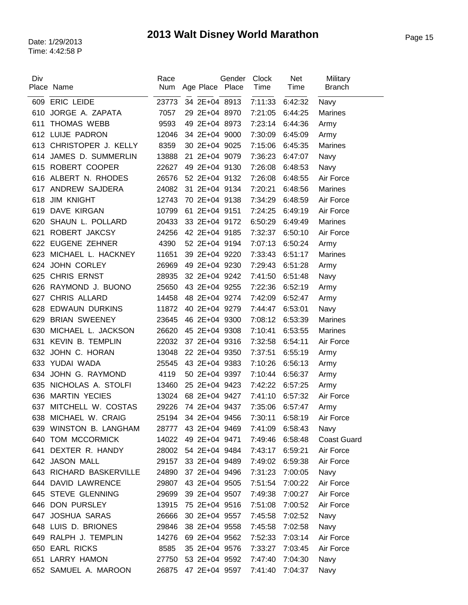| Div | Place Name              | Race<br>Num | Age Place Place     | Gender        | <b>Clock</b><br>Time | Net<br>Time | Military<br><b>Branch</b> |
|-----|-------------------------|-------------|---------------------|---------------|----------------------|-------------|---------------------------|
| 609 | <b>ERIC LEIDE</b>       | 23773       |                     | 34 2E+04 8913 | 7:11:33              | 6:42:32     | Navy                      |
| 610 | JORGE A. ZAPATA         | 7057        |                     | 29 2E+04 8970 | 7:21:05              | 6:44:25     | <b>Marines</b>            |
| 611 | <b>THOMAS WEBB</b>      | 9593        |                     | 49 2E+04 8973 | 7:23:14              | 6:44:36     | Army                      |
|     | 612 LUIJE PADRON        | 12046       |                     | 34 2E+04 9000 | 7:30:09              | 6:45:09     | Army                      |
| 613 | CHRISTOPER J. KELLY     | 8359        |                     | 30 2E+04 9025 | 7:15:06              | 6:45:35     | <b>Marines</b>            |
| 614 | JAMES D. SUMMERLIN      | 13888       |                     | 21 2E+04 9079 | 7:36:23              | 6:47:07     | Navy                      |
|     | 615 ROBERT COOPER       | 22627       |                     | 49 2E+04 9130 | 7:26:08              | 6:48:53     | Navy                      |
| 616 | ALBERT N. RHODES        | 26576       |                     | 52 2E+04 9132 | 7:26:08              | 6:48:55     | Air Force                 |
| 617 | ANDREW SAJDERA          | 24082       |                     | 31 2E+04 9134 | 7:20:21              | 6:48:56     | <b>Marines</b>            |
| 618 | <b>JIM KNIGHT</b>       | 12743       |                     | 70 2E+04 9138 | 7:34:29              | 6:48:59     | Air Force                 |
| 619 | DAVE KIRGAN             | 10799       |                     | 61 2E+04 9151 | 7:24:25              | 6:49:19     | Air Force                 |
| 620 | SHAUN L. POLLARD        | 20433       |                     | 33 2E+04 9172 | 6:50:29              | 6:49:49     | <b>Marines</b>            |
| 621 | ROBERT JAKCSY           | 24256       |                     | 42 2E+04 9185 | 7:32:37              | 6:50:10     | Air Force                 |
| 622 | <b>EUGENE ZEHNER</b>    | 4390        |                     | 52 2E+04 9194 | 7:07:13              | 6:50:24     | Army                      |
| 623 | MICHAEL L. HACKNEY      | 11651       |                     | 39 2E+04 9220 | 7:33:43              | 6:51:17     | <b>Marines</b>            |
| 624 | <b>JOHN CORLEY</b>      | 26969       |                     | 49 2E+04 9230 | 7:29:43              | 6:51:28     | Army                      |
| 625 | <b>CHRIS ERNST</b>      | 28935       |                     | 32 2E+04 9242 | 7:41:50              | 6:51:48     | Navy                      |
|     | 626 RAYMOND J. BUONO    | 25650       |                     | 43 2E+04 9255 | 7:22:36              | 6:52:19     | Army                      |
| 627 | CHRIS ALLARD            | 14458       |                     | 48 2E+04 9274 | 7:42:09              | 6:52:47     | Army                      |
| 628 | <b>EDWAUN DURKINS</b>   | 11872       |                     | 40 2E+04 9279 | 7:44:47              | 6:53:01     | Navy                      |
| 629 | <b>BRIAN SWEENEY</b>    | 23645       |                     | 46 2E+04 9300 | 7:08:12              | 6:53:39     | <b>Marines</b>            |
| 630 | MICHAEL L. JACKSON      |             |                     | 45 2E+04 9308 | 7:10:41              | 6:53:55     | <b>Marines</b>            |
|     |                         | 26620       |                     | 37 2E+04 9316 |                      |             |                           |
| 631 | <b>KEVIN B. TEMPLIN</b> | 22032       |                     |               | 7:32:58              | 6:54:11     | Air Force                 |
| 632 | JOHN C. HORAN           | 13048       |                     | 22 2E+04 9350 | 7:37:51              | 6:55:19     | Army                      |
|     | 633 YUDAI WADA          | 25545       |                     | 43 2E+04 9383 | 7:10:26              | 6:56:13     | Army                      |
| 634 | JOHN G. RAYMOND         | 4119        |                     | 50 2E+04 9397 | 7:10:44              | 6:56:37     | Army                      |
| 635 | NICHOLAS A. STOLFI      | 13460       |                     | 25 2E+04 9423 | 7:42:22              | 6:57:25     | Army                      |
| 636 | <b>MARTIN YECIES</b>    | 13024       |                     | 68 2E+04 9427 | 7:41:10              | 6:57:32     | Air Force                 |
| 637 | MITCHELL W. COSTAS      | 29226       |                     | 74 2E+04 9437 | 7:35:06              | 6:57:47     | Army                      |
|     | 638 MICHAEL W. CRAIG    | 25194       |                     | 34 2E+04 9456 | 7:30:11              | 6:58:19     | Air Force                 |
|     | 639 WINSTON B. LANGHAM  | 28777       |                     | 43 2E+04 9469 | 7:41:09              | 6:58:43     | Navy                      |
|     | 640 TOM MCCORMICK       | 14022       |                     | 49 2E+04 9471 | 7:49:46              | 6:58:48     | <b>Coast Guard</b>        |
| 641 | DEXTER R. HANDY         | 28002       |                     | 54 2E+04 9484 | 7:43:17              | 6:59:21     | Air Force                 |
|     | 642 JASON MALL          | 29157       |                     | 33 2E+04 9489 | 7:49:02              | 6:59:38     | Air Force                 |
|     | 643 RICHARD BASKERVILLE | 24890       |                     | 37 2E+04 9496 | 7:31:23              | 7:00:05     | Navy                      |
|     | 644 DAVID LAWRENCE      | 29807       |                     | 43 2E+04 9505 | 7:51:54              | 7:00:22     | Air Force                 |
|     | 645 STEVE GLENNING      | 29699       |                     | 39 2E+04 9507 | 7:49:38              | 7:00:27     | Air Force                 |
|     | 646 DON PURSLEY         | 13915       |                     | 75 2E+04 9516 | 7:51:08              | 7:00:52     | Air Force                 |
|     | 647 JOSHUA SARAS        | 26666       |                     | 30 2E+04 9557 | 7:45:58              | 7:02:52     | Navy                      |
|     | 648 LUIS D. BRIONES     | 29846       |                     | 38 2E+04 9558 | 7:45:58              | 7:02:58     | Navy                      |
|     | 649 RALPH J. TEMPLIN    | 14276       |                     | 69 2E+04 9562 | 7:52:33              | 7:03:14     | Air Force                 |
|     | 650 EARL RICKS          | 8585        |                     | 35 2E+04 9576 | 7:33:27              | 7:03:45     | Air Force                 |
|     | 651 LARRY HAMON         | 27750       |                     | 53 2E+04 9592 | 7:47:40              | 7:04:30     | Navy                      |
|     | 652 SAMUEL A. MAROON    |             | 26875 47 2E+04 9597 |               | 7:41:40              | 7:04:37     | Navy                      |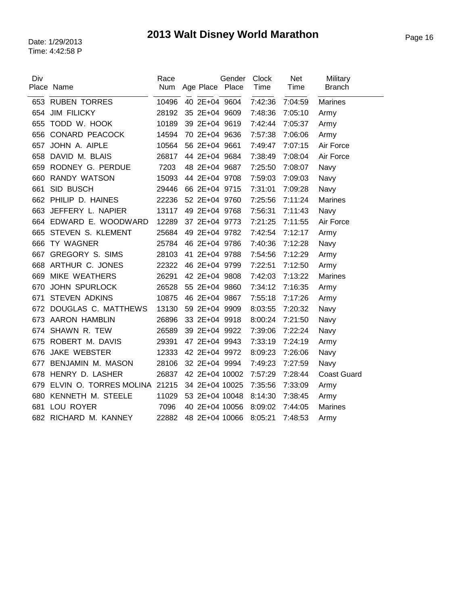| Div | Place Name             | Race<br>Num | Age Place Place | Gender | Clock<br>Time | Net<br>Time | Military<br><b>Branch</b> |
|-----|------------------------|-------------|-----------------|--------|---------------|-------------|---------------------------|
|     |                        |             |                 |        |               |             |                           |
| 653 | <b>RUBEN TORRES</b>    | 10496       | 40 2E+04 9604   |        | 7:42:36       | 7:04:59     | Marines                   |
| 654 | <b>JIM FILICKY</b>     | 28192       | 35 2E+04 9609   |        | 7:48:36       | 7:05:10     | Army                      |
| 655 | TODD W. HOOK           | 10189       | 39 2E+04 9619   |        | 7:42:44       | 7:05:37     | Army                      |
| 656 | CONARD PEACOCK         | 14594       | 70 2E+04 9636   |        | 7:57:38       | 7:06:06     | Army                      |
| 657 | JOHN A. AIPLE          | 10564       | 56 2E+04 9661   |        | 7:49:47       | 7:07:15     | Air Force                 |
| 658 | DAVID M. BLAIS         | 26817       | 44 2E+04 9684   |        | 7:38:49       | 7:08:04     | Air Force                 |
| 659 | RODNEY G. PERDUE       | 7203        | 48 2E+04 9687   |        | 7:25:50       | 7:08:07     | Navy                      |
| 660 | <b>RANDY WATSON</b>    | 15093       | 44 2E+04 9708   |        | 7:59:03       | 7:09:03     | Navy                      |
| 661 | SID BUSCH              | 29446       | 66 2E+04 9715   |        | 7:31:01       | 7:09:28     | Navy                      |
| 662 | PHILIP D. HAINES       | 22236       | 52 2E+04 9760   |        | 7:25:56       | 7:11:24     | <b>Marines</b>            |
| 663 | JEFFERY L. NAPIER      | 13117       | 49 2E+04 9768   |        | 7:56:31       | 7:11:43     | <b>Navy</b>               |
|     | 664 EDWARD E. WOODWARD | 12289       | 37 2E+04 9773   |        | 7:21:25       | 7:11:55     | Air Force                 |
| 665 | STEVEN S. KLEMENT      | 25684       | 49 2E+04 9782   |        | 7:42:54       | 7:12:17     | Army                      |
| 666 | TY WAGNER              | 25784       | 46 2E+04 9786   |        | 7:40:36       | 7:12:28     | Navy                      |
| 667 | <b>GREGORY S. SIMS</b> | 28103       | 41 2E+04 9788   |        | 7:54:56       | 7:12:29     | Army                      |
| 668 | ARTHUR C. JONES        | 22322       | 46 2E+04 9799   |        | 7:22:51       | 7:12:50     | Army                      |
| 669 | <b>MIKE WEATHERS</b>   | 26291       | 42 2E+04 9808   |        | 7:42:03       | 7:13:22     | <b>Marines</b>            |
| 670 | <b>JOHN SPURLOCK</b>   | 26528       | 55 2E+04 9860   |        | 7:34:12       | 7:16:35     | Army                      |
| 671 | <b>STEVEN ADKINS</b>   | 10875       | 46 2E+04 9867   |        | 7:55:18       | 7:17:26     | Army                      |
| 672 | DOUGLAS C. MATTHEWS    | 13130       | 59 2E+04 9909   |        | 8:03:55       | 7:20:32     | Navy                      |
| 673 | <b>AARON HAMBLIN</b>   | 26896       | 33 2E+04 9918   |        | 8:00:24       | 7:21:50     | Navy                      |
| 674 | SHAWN R. TEW           | 26589       | 39 2E+04 9922   |        | 7:39:06       | 7:22:24     | Navy                      |
| 675 | ROBERT M. DAVIS        | 29391       | 47 2E+04 9943   |        | 7:33:19       | 7:24:19     | Army                      |
| 676 | <b>JAKE WEBSTER</b>    | 12333       | 42 2E+04 9972   |        | 8:09:23       | 7:26:06     | Navy                      |
| 677 | BENJAMIN M. MASON      | 28106       | 32 2E+04 9994   |        | 7:49:23       | 7:27:59     | Navy                      |
| 678 | HENRY D. LASHER        | 26837       | 42 2E+04 10002  |        | 7:57:29       | 7:28:44     | <b>Coast Guard</b>        |
| 679 | ELVIN O. TORRES MOLINA | 21215       | 34 2E+04 10025  |        | 7:35:56       | 7:33:09     | Army                      |
| 680 | KENNETH M. STEELE      | 11029       | 53 2E+04 10048  |        | 8:14:30       | 7:38:45     | Army                      |
| 681 | LOU ROYER              | 7096        | 40 2E+04 10056  |        | 8:09:02       | 7:44:05     | <b>Marines</b>            |
|     | 682 RICHARD M. KANNEY  | 22882       | 48 2E+04 10066  |        | 8:05:21       | 7:48:53     | Army                      |
|     |                        |             |                 |        |               |             |                           |

 $\overline{\phantom{a}}$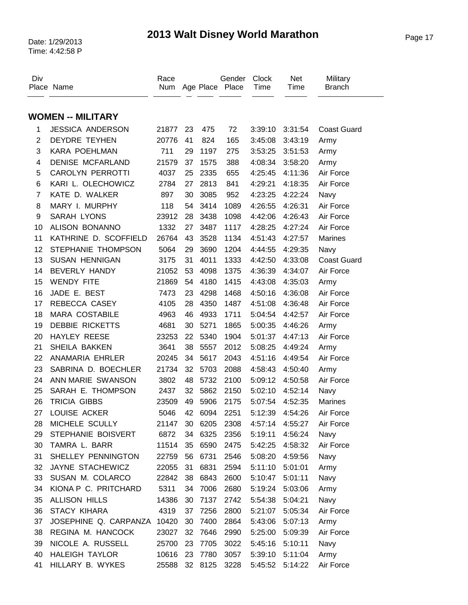| Div            | Place Name                  | Race<br>Num |    |         | Gender<br>Age Place Place | <b>Clock</b><br>Time | <b>Net</b><br>Time | Military<br><b>Branch</b> |
|----------------|-----------------------------|-------------|----|---------|---------------------------|----------------------|--------------------|---------------------------|
|                |                             |             |    |         |                           |                      |                    |                           |
|                | <b>WOMEN -- MILITARY</b>    |             |    |         |                           |                      |                    |                           |
| 1              | <b>JESSICA ANDERSON</b>     | 21877       | 23 | 475     | 72                        | 3:39:10              | 3:31:54            | <b>Coast Guard</b>        |
| $\overline{2}$ | <b>DEYDRE TEYHEN</b>        | 20776       | 41 | 824     | 165                       | 3:45:08              | 3:43:19            | Army                      |
| 3              | KARA POEHLMAN               | 711         | 29 | 1197    | 275                       | 3:53:25              | 3:51:53            | Army                      |
| 4              | <b>DENISE MCFARLAND</b>     | 21579       | 37 | 1575    | 388                       | 4:08:34              | 3:58:20            | Army                      |
| 5              | <b>CAROLYN PERROTTI</b>     | 4037        | 25 | 2335    | 655                       | 4:25:45              | 4:11:36            | Air Force                 |
| 6              | KARI L. OLECHOWICZ          | 2784        | 27 | 2813    | 841                       | 4:29:21              | 4:18:35            | Air Force                 |
| $\overline{7}$ | KATE D. WALKER              | 897         | 30 | 3085    | 952                       | 4:23:25              | 4:22:24            | Navy                      |
| 8              | MARY I. MURPHY              | 118         | 54 | 3414    | 1089                      | 4:26:55              | 4:26:31            | Air Force                 |
| 9              | <b>SARAH LYONS</b>          | 23912       | 28 | 3438    | 1098                      | 4:42:06              | 4:26:43            | Air Force                 |
| 10             | ALISON BONANNO              | 1332        | 27 | 3487    | 1117                      | 4:28:25              | 4:27:24            | Air Force                 |
| 11             | KATHRINE D. SCOFFIELD       | 26764       | 43 | 3528    | 1134                      | 4:51:43              | 4:27:57            | Marines                   |
| 12             | STEPHANIE THOMPSON          | 5064        | 29 | 3690    | 1204                      | 4:44:55              | 4:29:35            | Navy                      |
| 13             | <b>SUSAN HENNIGAN</b>       | 3175        | 31 | 4011    | 1333                      | 4:42:50              | 4:33:08            | <b>Coast Guard</b>        |
| 14             | <b>BEVERLY HANDY</b>        | 21052       | 53 | 4098    | 1375                      | 4:36:39              | 4:34:07            | Air Force                 |
| 15             | <b>WENDY FITE</b>           | 21869       | 54 | 4180    | 1415                      | 4:43:08              | 4:35:03            | Army                      |
| 16             | JADE E. BEST                | 7473        | 23 | 4298    | 1468                      | 4:50:16              | 4:36:08            | Air Force                 |
| 17             | REBECCA CASEY               | 4105        | 28 | 4350    | 1487                      | 4:51:08              | 4:36:48            | Air Force                 |
| 18             | <b>MARA COSTABILE</b>       | 4963        | 46 | 4933    | 1711                      | 5:04:54              | 4:42:57            | Air Force                 |
| 19             | <b>DEBBIE RICKETTS</b>      | 4681        | 30 | 5271    | 1865                      | 5:00:35              | 4:46:26            | Army                      |
| 20             | <b>HAYLEY REESE</b>         | 23253       | 22 | 5340    | 1904                      | 5:01:37              | 4:47:13            | Air Force                 |
| 21             | SHEILA BAKKEN               | 3641        | 38 | 5557    | 2012                      | 5:08:25              | 4:49:24            | Army                      |
| 22             | ANAMARIA EHRLER             | 20245       | 34 | 5617    | 2043                      | 4:51:16              | 4:49:54            | Air Force                 |
| 23             | SABRINA D. BOECHLER         | 21734       | 32 | 5703    | 2088                      | 4:58:43              | 4:50:40            | Army                      |
| 24             | ANN MARIE SWANSON           | 3802        | 48 | 5732    | 2100                      | 5:09:12              | 4:50:58            | Air Force                 |
| 25             | SARAH E. THOMPSON           | 2437        | 32 | 5862    | 2150                      | 5:02:10              | 4:52:14            | Navy                      |
| 26             | <b>TRICIA GIBBS</b>         | 23509       | 49 | 5906    | 2175                      | 5:07:54              | 4:52:35            | <b>Marines</b>            |
| 27             | LOUISE ACKER                | 5046        | 42 | 6094    | 2251                      | 5:12:39              | 4:54:26            | Air Force                 |
| 28             | MICHELE SCULLY              | 21147       | 30 | 6205    | 2308                      | 4:57:14              | 4:55:27            | Air Force                 |
| 29             | STEPHANIE BOISVERT          | 6872        | 34 | 6325    | 2356                      | 5:19:11              | 4:56:24            | Navy                      |
| 30             | TAMRA L. BARR               | 11514       | 35 | 6590    | 2475                      | 5:42:25              | 4:58:32            | Air Force                 |
| 31             | SHELLEY PENNINGTON          | 22759       | 56 | 6731    | 2546                      | 5:08:20              | 4:59:56            | Navy                      |
| 32             | JAYNE STACHEWICZ            | 22055       | 31 | 6831    | 2594                      | 5:11:10              | 5:01:01            | Army                      |
| 33             | SUSAN M. COLARCO            | 22842       | 38 | 6843    | 2600                      | 5:10:47              | 5:01:11            | Navy                      |
| 34             | KIONA P C. PRITCHARD        | 5311        | 34 | 7006    | 2680                      | 5:19:24              | 5:03:06            | Army                      |
| 35             | <b>ALLISON HILLS</b>        | 14386       | 30 | 7137    | 2742                      | 5:54:38              | 5:04:21            | Navy                      |
| 36             | <b>STACY KIHARA</b>         | 4319        | 37 | 7256    | 2800                      | 5:21:07              | 5:05:34            | Air Force                 |
| 37             | JOSEPHINE Q. CARPANZA 10420 |             | 30 | 7400    | 2864                      | 5:43:06              | 5:07:13            | Army                      |
| 38             | REGINA M. HANCOCK           | 23027       | 32 | 7646    | 2990                      | 5:25:00              | 5:09:39            | Air Force                 |
| 39             | NICOLE A. RUSSELL           | 25700       | 23 | 7705    | 3022                      | 5:45:16              | 5:10:11            | Navy                      |
| 40             | <b>HALEIGH TAYLOR</b>       | 10616       | 23 | 7780    | 3057                      | 5:39:10              | 5:11:04            | Army                      |
| 41             | HILLARY B. WYKES            | 25588       |    | 32 8125 | 3228                      | 5:45:52              | 5:14:22            | Air Force                 |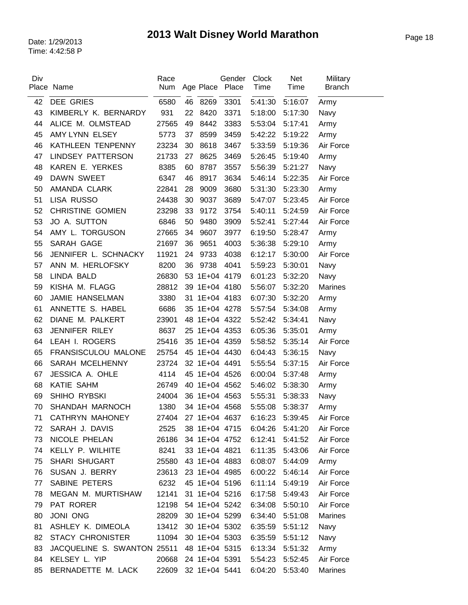| Div |                             | Race       |    |               | Gender              | <b>Clock</b>    | <b>Net</b>      | Military      |
|-----|-----------------------------|------------|----|---------------|---------------------|-----------------|-----------------|---------------|
|     | Place Name                  | <b>Num</b> |    | Age Place     | Place               | Time            | Time            | <b>Branch</b> |
| 42  | <b>DEE GRIES</b>            | 6580       |    | 46 8269       | 3301                | 5:41:30         | 5:16:07         | Army          |
| 43  | KIMBERLY K. BERNARDY        | 931        | 22 | 8420          | 3371                | 5:18:00         | 5:17:30         | Navy          |
| 44  | ALICE M. OLMSTEAD           | 27565      | 49 | 8442          | 3383                | 5:53:04         | 5:17:41         | Army          |
| 45  | AMY LYNN ELSEY              | 5773       | 37 | 8599          | 3459                | 5:42:22         | 5:19:22         | Army          |
| 46  | KATHLEEN TENPENNY           | 23234      | 30 | 8618          | 3467                | 5:33:59         | 5:19:36         | Air Force     |
| 47  | <b>LINDSEY PATTERSON</b>    | 21733      | 27 | 8625          | 3469                | 5:26:45         | 5:19:40         | Army          |
| 48  | KAREN E. YERKES             | 8385       | 60 | 8787          | 3557                | 5:56:39         | 5:21:27         | Navy          |
| 49  | <b>DAWN SWEET</b>           | 6347       | 46 | 8917          | 3634                | 5:46:14         | 5:22:35         | Air Force     |
| 50  | AMANDA CLARK                | 22841      | 28 | 9009          | 3680                | 5:31:30         | 5:23:30         | Army          |
| 51  | LISA RUSSO                  | 24438      | 30 | 9037          | 3689                | 5:47:07         | 5:23:45         | Air Force     |
| 52  | <b>CHRISTINE GOMIEN</b>     | 23298      | 33 | 9172          | 3754                | 5:40:11         | 5:24:59         | Air Force     |
| 53  | JO A. SUTTON                | 6846       | 50 | 9480          | 3909                | 5:52:41         | 5:27:44         | Air Force     |
| 54  | AMY L. TORGUSON             | 27665      | 34 | 9607          | 3977                | 6:19:50         | 5:28:47         | Army          |
| 55  | SARAH GAGE                  | 21697      | 36 | 9651          | 4003                | 5:36:38         | 5:29:10         | Army          |
| 56  | JENNIFER L. SCHNACKY        | 11921      | 24 | 9733          | 4038                | 6:12:17         | 5:30:00         | Air Force     |
| 57  | ANN M. HERLOFSKY            | 8200       | 36 | 9738          | 4041                | 5:59:23         | 5:30:01         | Navy          |
| 58  | <b>LINDA BALD</b>           | 26830      |    | 53 1E+04 4179 |                     | 6:01:23         | 5:32:20         | Navy          |
| 59  | KISHA M. FLAGG              | 28812      |    | 39 1E+04 4180 |                     | 5:56:07         | 5:32:20         | Marines       |
| 60  | JAMIE HANSELMAN             | 3380       |    |               | 31 1E+04 4183       | 6:07:30         | 5:32:20         | Army          |
| 61  | ANNETTE S. HABEL            | 6686       |    |               | 35 1E+04 4278       | 5:57:54         | 5:34:08         | Army          |
| 62  | DIANE M. PALKERT            | 23901      |    |               | 48 1E+04 4322       | 5:52:42         | 5:34:41         | Navy          |
| 63  | JENNIFER RILEY              | 8637       |    |               | 25 1E+04 4353       | 6:05:36         | 5:35:01         | Army          |
| 64  | LEAH I. ROGERS              | 25416      |    | 35 1E+04 4359 |                     | 5:58:52         | 5:35:14         | Air Force     |
| 65  | FRANSISCULOU MALONE         | 25754      |    | 45 1E+04 4430 |                     | 6:04:43         | 5:36:15         | Navy          |
| 66  | SARAH MCELHENNY             | 23724      |    | 32 1E+04 4491 |                     | 5:55:54         | 5:37:15         | Air Force     |
| 67  | JESSICA A. OHLE             | 4114       |    | 45 1E+04 4526 |                     | 6:00:04         | 5:37:48         | Army          |
| 68  | <b>KATIE SAHM</b>           | 26749      |    |               | 40 1E+04 4562       | 5:46:02         | 5:38:30         | Army          |
| 69  | SHIHO RYBSKI                | 24004      |    |               | 36 1E+04 4563       | 5:55:31         | 5:38:33         | Navy          |
| 70  | SHANDAH MARNOCH             | 1380       |    | 34 1E+04 4568 |                     | 5:55:08         | 5:38:37         | Army          |
| 71  | CATHRYN MAHONEY             |            |    |               | 27404 27 1E+04 4637 | 6:16:23 5:39:45 |                 | Air Force     |
| 72  | SARAH J. DAVIS              | 2525       |    |               | 38 1E+04 4715       | 6:04:26         | 5:41:20         | Air Force     |
| 73  | NICOLE PHELAN               | 26186      |    |               | 34 1E+04 4752       | 6:12:41         | 5:41:52         | Air Force     |
| 74  | KELLY P. WILHITE            | 8241       |    | 33 1E+04 4821 |                     | 6:11:35         | 5:43:06         | Air Force     |
| 75  | <b>SHARI SHUGART</b>        | 25580      |    |               | 43 1E+04 4883       | 6:08:07         | 5:44:09         | Army          |
| 76  | SUSAN J. BERRY              | 23613      |    |               | 23 1E+04 4985       |                 | 6:00:22 5:46:14 | Air Force     |
| 77  | SABINE PETERS               | 6232       |    |               | 45 1E+04 5196       | 6:11:14         | 5:49:19         | Air Force     |
| 78  | MEGAN M. MURTISHAW          | 12141      |    |               | 31 1E+04 5216       | 6:17:58         | 5:49:43         | Air Force     |
| 79  | PAT RORER                   | 12198      |    |               | 54 1E+04 5242       | 6:34:08         | 5:50:10         | Air Force     |
| 80  | <b>JONI ONG</b>             | 28209      |    |               | 30 1E+04 5299       | 6:34:40         | 5:51:08         | Marines       |
| 81  | ASHLEY K. DIMEOLA           | 13412      |    |               | 30 1E+04 5302       | 6:35:59         | 5:51:12         | Navy          |
| 82  | <b>STACY CHRONISTER</b>     | 11094      |    |               | 30 1E+04 5303       | 6:35:59         | 5:51:12         | Navy          |
| 83  | JACQUELINE S. SWANTON 25511 |            |    |               | 48 1E+04 5315       | 6:13:34         | 5:51:32         | Army          |
| 84  | KELSEY L. YIP               | 20668      |    |               | 24 1E+04 5391       | 5:54:23         | 5:52:45         | Air Force     |
| 85  | BERNADETTE M. LACK          | 22609      |    | 32 1E+04 5441 |                     | 6:04:20         | 5:53:40         | Marines       |

 $\overline{\phantom{0}}$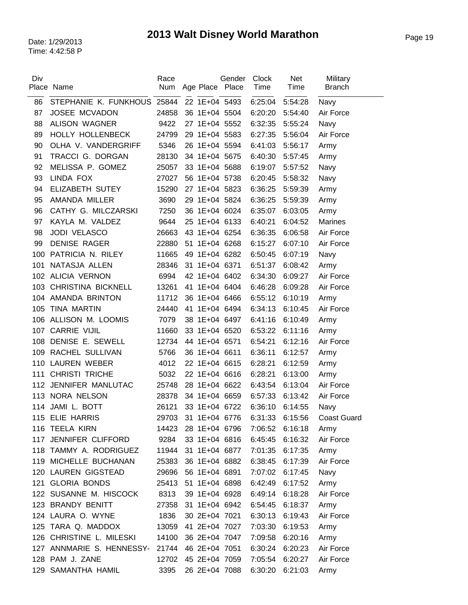| Div | Place Name                  | Race<br>Num | Age Place Place | Gender | <b>Clock</b><br>Time | <b>Net</b><br>Time | Military<br><b>Branch</b> |
|-----|-----------------------------|-------------|-----------------|--------|----------------------|--------------------|---------------------------|
| 86  | STEPHANIE K. FUNKHOUS 25844 |             | 22 1E+04 5493   |        | 6:25:04              | 5:54:28            | Navy                      |
| 87  | <b>JOSEE MCVADON</b>        | 24858       | 36 1E+04 5504   |        | 6:20:20              | 5:54:40            | Air Force                 |
| 88  | <b>ALISON WAGNER</b>        | 9422        | 27 1E+04 5552   |        | 6:32:35              | 5:55:24            | Navy                      |
| 89  | <b>HOLLY HOLLENBECK</b>     | 24799       | 29 1E+04 5583   |        | 6:27:35              | 5:56:04            | Air Force                 |
| 90  | OLHA V. VANDERGRIFF         | 5346        | 26 1E+04 5594   |        | 6:41:03              | 5:56:17            | Army                      |
| 91  | TRACCI G. DORGAN            | 28130       | 34 1E+04 5675   |        | 6:40:30              | 5:57:45            | Army                      |
| 92  | MELISSA P. GOMEZ            | 25057       | 33 1E+04 5688   |        | 6:19:07              | 5:57:52            | Navy                      |
| 93  | LINDA FOX                   | 27027       | 56 1E+04 5738   |        | 6:20:45              | 5:58:32            | Navy                      |
| 94  | ELIZABETH SUTEY             | 15290       | 27 1E+04 5823   |        | 6:36:25              | 5:59:39            | Army                      |
| 95  | AMANDA MILLER               | 3690        | 29 1E+04 5824   |        | 6:36:25              | 5:59:39            | Army                      |
| 96  | CATHY G. MILCZARSKI         | 7250        | 36 1E+04 6024   |        | 6:35:07              | 6:03:05            | Army                      |
| 97  | KAYLA M. VALDEZ             | 9644        | 25 1E+04 6133   |        | 6:40:21              | 6:04:52            | <b>Marines</b>            |
| 98  | <b>JODI VELASCO</b>         | 26663       | 43 1E+04 6254   |        | 6:36:35              | 6:06:58            | Air Force                 |
| 99  | <b>DENISE RAGER</b>         | 22880       | 51 1E+04 6268   |        | 6:15:27              | 6:07:10            | Air Force                 |
| 100 | PATRICIA N. RILEY           | 11665       | 49 1E+04 6282   |        | 6:50:45              | 6:07:19            | Navy                      |
| 101 | NATASJA ALLEN               | 28346       | 31 1E+04 6371   |        | 6:51:37              | 6:08:42            | Army                      |
|     | 102 ALICIA VERNON           | 6994        | 42 1E+04 6402   |        | 6:34:30              | 6:09:27            | Air Force                 |
| 103 | <b>CHRISTINA BICKNELL</b>   | 13261       | 41 1E+04 6404   |        | 6:46:28              | 6:09:28            | Air Force                 |
|     | 104 AMANDA BRINTON          | 11712       | 36 1E+04 6466   |        | 6:55:12              | 6:10:19            | Army                      |
| 105 | <b>TINA MARTIN</b>          | 24440       | 41 1E+04 6494   |        | 6:34:13              | 6:10:45            | Air Force                 |
| 106 | ALLISON M. LOOMIS           | 7079        | 38 1E+04 6497   |        | 6:41:16              | 6:10:49            | Army                      |
| 107 | <b>CARRIE VIJIL</b>         | 11660       | 33 1E+04 6520   |        | 6:53:22              | 6:11:16            | Army                      |
| 108 | DENISE E. SEWELL            | 12734       | 44 1E+04 6571   |        | 6:54:21              | 6:12:16            | Air Force                 |
| 109 | RACHEL SULLIVAN             | 5766        | 36 1E+04 6611   |        | 6:36:11              | 6:12:57            | Army                      |
| 110 | LAUREN WEBER                | 4012        | 22 1E+04 6615   |        | 6:28:21              | 6:12:59            | Army                      |
| 111 | <b>CHRISTI TRICHE</b>       | 5032        | 22 1E+04 6616   |        | 6:28:21              | 6:13:00            | Army                      |
|     | 112 JENNIFER MANLUTAC       | 25748       | 28 1E+04 6622   |        | 6:43:54              | 6:13:04            | Air Force                 |
|     | 113 NORA NELSON             | 28378       | 34 1E+04 6659   |        | 6:57:33              | 6:13:42            | Air Force                 |
|     | 114 JAMI L. BOTT            | 26121       | 33 1E+04 6722   |        | 6:36:10              | 6:14:55            | Navy                      |
|     | 115 ELIE HARRIS             | 29703       | 31 1E+04 6776   |        | 6:31:33 6:15:56      |                    | <b>Coast Guard</b>        |
|     | 116 TEELA KIRN              | 14423       | 28 1E+04 6796   |        | 7:06:52              | 6:16:18            | Army                      |
| 117 | JENNIFER CLIFFORD           | 9284        | 33 1E+04 6816   |        | 6:45:45              | 6:16:32            | Air Force                 |
|     | 118 TAMMY A. RODRIGUEZ      | 11944       | 31 1E+04 6877   |        | 7:01:35              | 6:17:35            | Army                      |
| 119 | MICHELLE BUCHANAN           | 25383       | 36 1E+04 6882   |        | 6:38:45              | 6:17:39            | Air Force                 |
|     | 120 LAUREN GIGSTEAD         | 29696       | 56 1E+04 6891   |        | 7:07:02              | 6:17:45            | Navy                      |
| 121 | <b>GLORIA BONDS</b>         | 25413       | 51 1E+04 6898   |        | 6:42:49              | 6:17:52            | Army                      |
|     | 122 SUSANNE M. HISCOCK      | 8313        | 39 1E+04 6928   |        | 6:49:14              | 6:18:28            | Air Force                 |
|     | 123 BRANDY BENITT           | 27358       | 31 1E+04 6942   |        | 6:54:45              | 6:18:37            | Army                      |
|     | 124 LAURA O. WYNE           | 1836        | 30 2E+04 7021   |        | 6:30:13              | 6:19:43            | Air Force                 |
|     | 125 TARA Q. MADDOX          | 13059       | 41 2E+04 7027   |        | 7:03:30              | 6:19:53            | Army                      |
|     | 126 CHRISTINE L. MILESKI    | 14100       | 36 2E+04 7047   |        | 7:09:58              | 6:20:16            | Army                      |
|     | 127 ANNMARIE S. HENNESSY-   | 21744       | 46 2E+04 7051   |        | 6:30:24              | 6:20:23            | Air Force                 |
|     | 128 PAM J. ZANE             | 12702       | 45 2E+04 7059   |        | 7:05:54              | 6:20:27            | Air Force                 |
|     | 129 SAMANTHA HAMIL          | 3395        | 26 2E+04 7088   |        | 6:30:20              | 6:21:03            | Army                      |

 $\overline{a}$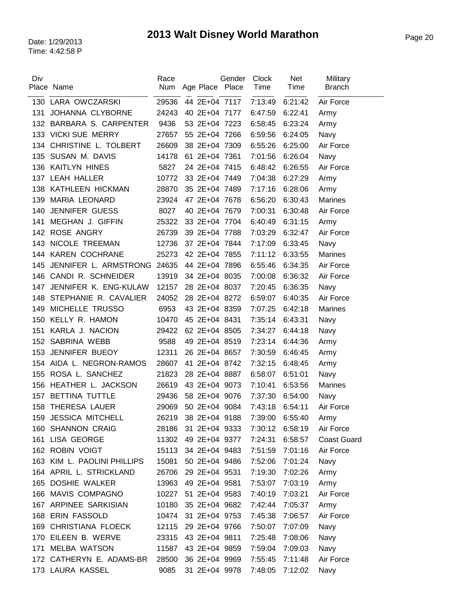| Div |                             | Race  |                     | Gender | Clock   | <b>Net</b>      | Military           |
|-----|-----------------------------|-------|---------------------|--------|---------|-----------------|--------------------|
|     | Place Name                  | Num   | Age Place Place     |        | Time    | Time            | <b>Branch</b>      |
| 130 | LARA OWCZARSKI              | 29536 | 44 2E+04 7117       |        | 7:13:49 | 6:21:42         | Air Force          |
| 131 | JOHANNA CLYBORNE            | 24243 | 40 2E+04 7177       |        | 6:47:59 | 6:22:41         | Army               |
| 132 | BARBARA S. CARPENTER        | 9436  | 53 2E+04 7223       |        | 6:58:45 | 6:23:24         | Army               |
|     | 133 VICKI SUE MERRY         | 27657 | 55 2E+04 7266       |        | 6:59:56 | 6:24:05         | Navy               |
| 134 | CHRISTINE L. TOLBERT        | 26609 | 38 2E+04 7309       |        | 6:55:26 | 6:25:00         | Air Force          |
| 135 | SUSAN M. DAVIS              | 14178 | 61 2E+04 7361       |        | 7:01:56 | 6:26:04         | Navy               |
| 136 | <b>KAITLYN HINES</b>        | 5827  | 24 2E+04 7415       |        | 6:48:42 | 6:26:55         | Air Force          |
| 137 | <b>LEAH HALLER</b>          | 10772 | 33 2E+04 7449       |        | 7:04:38 | 6:27:29         | Army               |
| 138 | KATHLEEN HICKMAN            | 28870 | 35 2E+04 7489       |        | 7:17:16 | 6:28:06         | Army               |
| 139 | <b>MARIA LEONARD</b>        | 23924 | 47 2E+04 7678       |        | 6:56:20 | 6:30:43         | <b>Marines</b>     |
| 140 | <b>JENNIFER GUESS</b>       | 8027  | 40 2E+04 7679       |        | 7:00:31 | 6:30:48         | Air Force          |
| 141 | <b>MEGHAN J. GIFFIN</b>     | 25322 | 33 2E+04 7704       |        | 6:40:49 | 6:31:15         | Army               |
| 142 | ROSE ANGRY                  | 26739 | 39 2E+04 7788       |        | 7:03:29 | 6:32:47         | Air Force          |
| 143 | NICOLE TREEMAN              | 12736 | 37 2E+04 7844       |        | 7:17:09 | 6:33:45         | Navy               |
|     | 144 KAREN COCHRANE          | 25273 | 42 2E+04 7855       |        | 7:11:12 | 6:33:55         | <b>Marines</b>     |
| 145 | JENNIFER L. ARMSTRONG       | 24635 | 44 2E+04 7896       |        | 6:55:46 | 6:34:35         | Air Force          |
| 146 | CANDI R. SCHNEIDER          | 13919 | 34 2E+04 8035       |        | 7:00:08 | 6:36:32         | Air Force          |
| 147 | JENNIFER K. ENG-KULAW       | 12157 | 28 2E+04 8037       |        | 7:20:45 | 6:36:35         | Navy               |
| 148 | STEPHANIE R. CAVALIER       | 24052 | 28 2E+04 8272       |        | 6:59:07 | 6:40:35         | Air Force          |
| 149 | MICHELLE TRUSSO             | 6953  | 43 2E+04 8359       |        | 7:07:25 | 6:42:18         | <b>Marines</b>     |
| 150 | <b>KELLY R. HAMON</b>       | 10470 | 45 2E+04 8431       |        | 7:35:14 | 6:43:31         | Navy               |
| 151 | KARLA J. NACION             | 29422 | 62 2E+04 8505       |        | 7:34:27 | 6:44:18         | Navy               |
| 152 | SABRINA WEBB                | 9588  | 49 2E+04 8519       |        | 7:23:14 | 6:44:36         | Army               |
| 153 | JENNIFER BUEOY              | 12311 | 26 2E+04 8657       |        | 7:30:59 | 6:46:45         | Army               |
|     | 154 AIDA L. NEGRON-RAMOS    | 28607 | 41 2E+04 8742       |        | 7:32:15 | 6:48:45         | Army               |
| 155 | ROSA L. SANCHEZ             | 21823 | 28 2E+04 8887       |        | 6:58:07 | 6:51:01         | Navy               |
| 156 | HEATHER L. JACKSON          | 26619 | 43 2E+04 9073       |        | 7:10:41 | 6:53:56         | <b>Marines</b>     |
| 157 | BETTINA TUTTLE              | 29436 | 58 2E+04 9076       |        | 7:37:30 | 6:54:00         | Navy               |
| 158 | THERESA LAUER               | 29069 | 50 2E+04 9084       |        | 7:43:18 | 6:54:11         | Air Force          |
| 159 | <b>JESSICA MITCHELL</b>     |       | 26219 38 2E+04 9188 |        |         | 7:39:00 6:55:40 | Army               |
|     | 160 SHANNON CRAIG           | 28186 | 31 2E+04 9333       |        | 7:30:12 | 6:58:19         | Air Force          |
| 161 | LISA GEORGE                 | 11302 | 49 2E+04 9377       |        | 7:24:31 | 6:58:57         | <b>Coast Guard</b> |
|     | 162 ROBIN VOIGT             | 15113 | 34 2E+04 9483       |        | 7:51:59 | 7:01:16         | Air Force          |
|     | 163 KIM L. PAOLINI PHILLIPS | 15081 | 50 2E+04 9486       |        | 7:52:06 | 7:01:24         | Navy               |
|     | 164 APRIL L. STRICKLAND     | 26706 | 29 2E+04 9531       |        | 7:19:30 | 7:02:26         | Army               |
|     | 165 DOSHIE WALKER           | 13963 | 49 2E+04 9581       |        | 7:53:07 | 7:03:19         | Army               |
|     | 166 MAVIS COMPAGNO          | 10227 | 51 2E+04 9583       |        | 7:40:19 | 7:03:21         | Air Force          |
|     | 167 ARPINEE SARKISIAN       | 10180 | 35 2E+04 9682       |        | 7:42:44 | 7:05:37         | Army               |
|     | 168 ERIN FASSOLD            | 10474 | 31 2E+04 9753       |        | 7:45:38 | 7:06:57         | Air Force          |
|     | 169 CHRISTIANA FLOECK       | 12115 | 29 2E+04 9766       |        | 7:50:07 | 7:07:09         | Navy               |
|     | 170 EILEEN B. WERVE         | 23315 | 43 2E+04 9811       |        | 7:25:48 | 7:08:06         | Navy               |
| 171 | <b>MELBA WATSON</b>         | 11587 | 43 2E+04 9859       |        | 7:59:04 | 7:09:03         | Navy               |
|     | 172 CATHERYN E. ADAMS-BR    | 28500 | 36 2E+04 9969       |        | 7:55:45 | 7:11:48         | Air Force          |
|     | 173 LAURA KASSEL            | 9085  | 31 2E+04 9978       |        | 7:48:05 | 7:12:02         | Navy               |
|     |                             |       |                     |        |         |                 |                    |